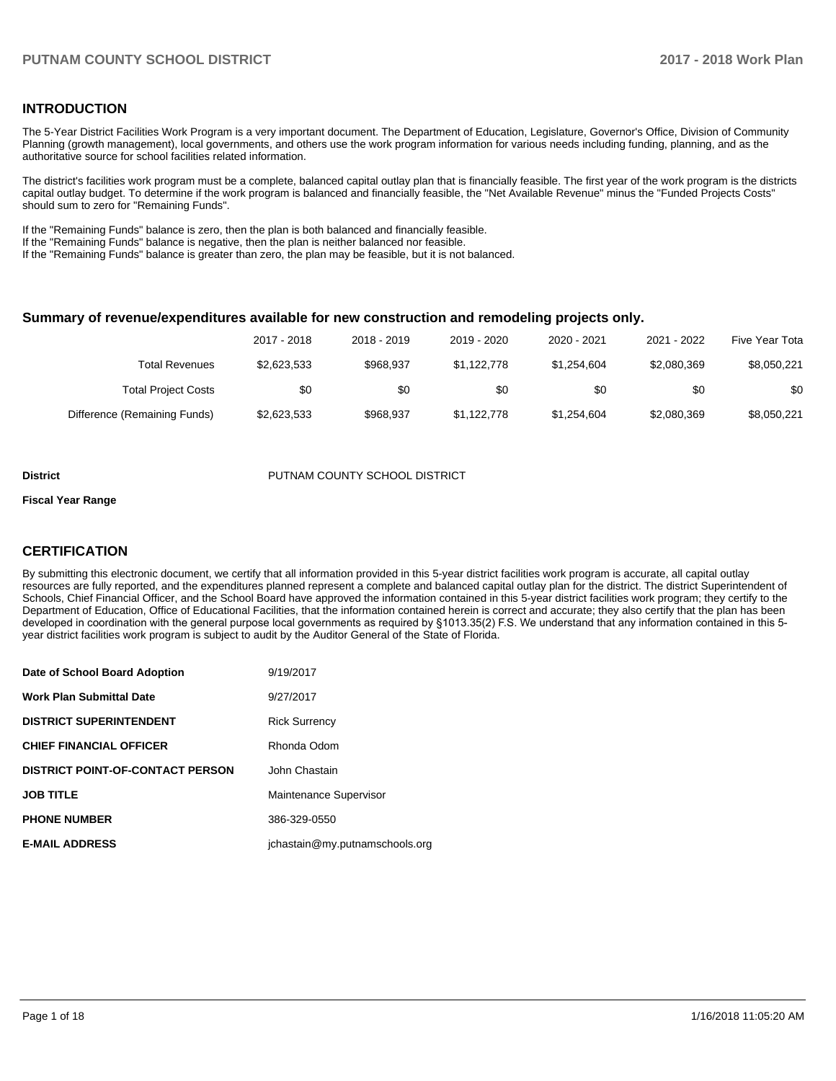## **INTRODUCTION**

The 5-Year District Facilities Work Program is a very important document. The Department of Education, Legislature, Governor's Office, Division of Community Planning (growth management), local governments, and others use the work program information for various needs including funding, planning, and as the authoritative source for school facilities related information.

The district's facilities work program must be a complete, balanced capital outlay plan that is financially feasible. The first year of the work program is the districts capital outlay budget. To determine if the work program is balanced and financially feasible, the "Net Available Revenue" minus the "Funded Projects Costs" should sum to zero for "Remaining Funds".

If the "Remaining Funds" balance is zero, then the plan is both balanced and financially feasible.

If the "Remaining Funds" balance is negative, then the plan is neither balanced nor feasible.

If the "Remaining Funds" balance is greater than zero, the plan may be feasible, but it is not balanced.

#### **Summary of revenue/expenditures available for new construction and remodeling projects only.**

| Five Year Tota | 2021 - 2022 | 2020 - 2021 | 2019 - 2020 | 2018 - 2019 | 2017 - 2018 |                              |
|----------------|-------------|-------------|-------------|-------------|-------------|------------------------------|
| \$8,050,221    | \$2,080,369 | \$1.254.604 | \$1,122,778 | \$968.937   | \$2,623,533 | Total Revenues               |
| \$0            | \$0         | \$0         | \$0         | \$0         | \$0         | <b>Total Project Costs</b>   |
| \$8,050,221    | \$2,080,369 | \$1,254,604 | \$1,122,778 | \$968.937   | \$2,623,533 | Difference (Remaining Funds) |

#### **District COUNTY SCHOOL DISTRICT** PUTNAM COUNTY SCHOOL DISTRICT

#### **Fiscal Year Range**

## **CERTIFICATION**

By submitting this electronic document, we certify that all information provided in this 5-year district facilities work program is accurate, all capital outlay resources are fully reported, and the expenditures planned represent a complete and balanced capital outlay plan for the district. The district Superintendent of Schools, Chief Financial Officer, and the School Board have approved the information contained in this 5-year district facilities work program; they certify to the Department of Education, Office of Educational Facilities, that the information contained herein is correct and accurate; they also certify that the plan has been developed in coordination with the general purpose local governments as required by §1013.35(2) F.S. We understand that any information contained in this 5year district facilities work program is subject to audit by the Auditor General of the State of Florida.

| Date of School Board Adoption           | 9/19/2017                      |
|-----------------------------------------|--------------------------------|
| Work Plan Submittal Date                | 9/27/2017                      |
| <b>DISTRICT SUPERINTENDENT</b>          | <b>Rick Surrency</b>           |
| <b>CHIEF FINANCIAL OFFICER</b>          | Rhonda Odom                    |
| <b>DISTRICT POINT-OF-CONTACT PERSON</b> | John Chastain                  |
| JOB TITLE                               | Maintenance Supervisor         |
| <b>PHONE NUMBER</b>                     | 386-329-0550                   |
| <b>E-MAIL ADDRESS</b>                   | jchastain@my.putnamschools.org |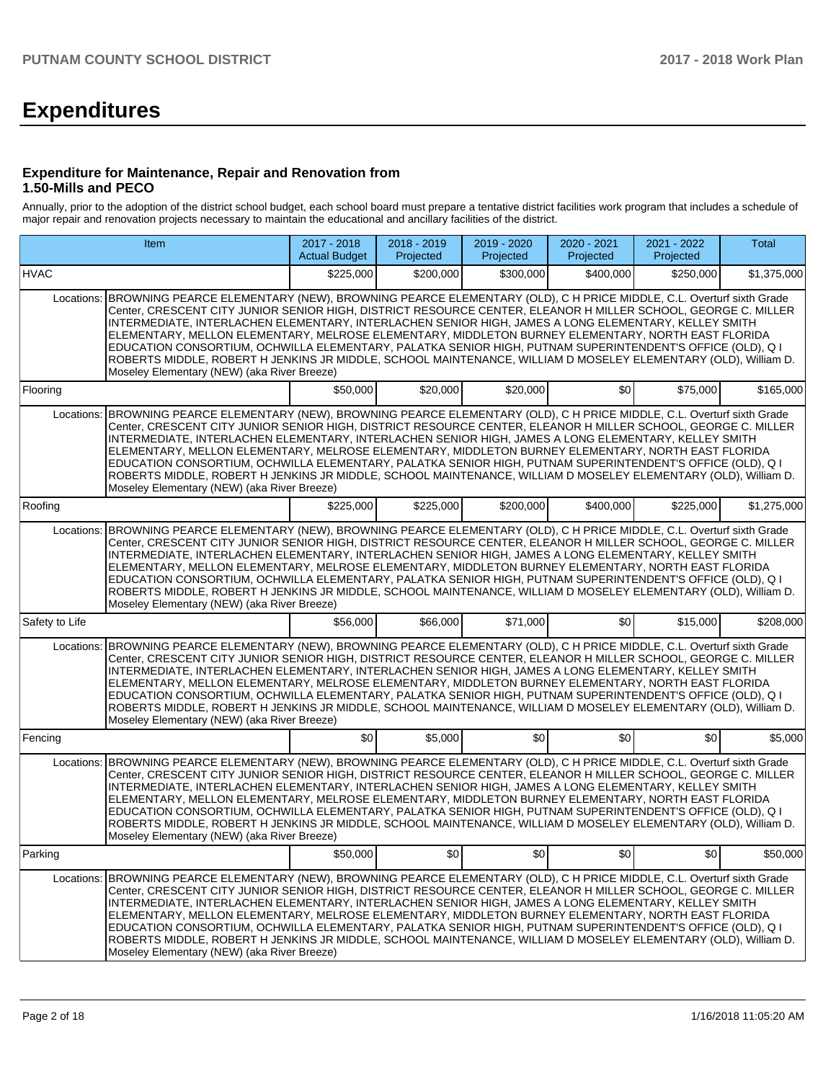# **Expenditures**

## **Expenditure for Maintenance, Repair and Renovation from 1.50-Mills and PECO**

Annually, prior to the adoption of the district school budget, each school board must prepare a tentative district facilities work program that includes a schedule of major repair and renovation projects necessary to maintain the educational and ancillary facilities of the district.

|                                                                                                                                                                                                                                                                                                                                                                                                                                                                                                                                                                                                                                                                                                                                         | Item                                                                                                                                                                                                                                                                                                                                                                                                                                                                                                                                                                                                                                                                                                                                    | 2017 - 2018<br><b>Actual Budget</b> | 2018 - 2019<br>Projected | 2019 - 2020<br>Projected | 2020 - 2021<br>Projected | 2021 - 2022<br>Projected | Total       |  |  |
|-----------------------------------------------------------------------------------------------------------------------------------------------------------------------------------------------------------------------------------------------------------------------------------------------------------------------------------------------------------------------------------------------------------------------------------------------------------------------------------------------------------------------------------------------------------------------------------------------------------------------------------------------------------------------------------------------------------------------------------------|-----------------------------------------------------------------------------------------------------------------------------------------------------------------------------------------------------------------------------------------------------------------------------------------------------------------------------------------------------------------------------------------------------------------------------------------------------------------------------------------------------------------------------------------------------------------------------------------------------------------------------------------------------------------------------------------------------------------------------------------|-------------------------------------|--------------------------|--------------------------|--------------------------|--------------------------|-------------|--|--|
| <b>HVAC</b>                                                                                                                                                                                                                                                                                                                                                                                                                                                                                                                                                                                                                                                                                                                             |                                                                                                                                                                                                                                                                                                                                                                                                                                                                                                                                                                                                                                                                                                                                         | \$225,000                           | \$200,000                | \$300,000                | \$400,000                | \$250,000                | \$1,375,000 |  |  |
| Locations: BROWNING PEARCE ELEMENTARY (NEW), BROWNING PEARCE ELEMENTARY (OLD), C H PRICE MIDDLE, C.L. Overturf sixth Grade<br>Center, CRESCENT CITY JUNIOR SENIOR HIGH, DISTRICT RESOURCE CENTER, ELEANOR H MILLER SCHOOL, GEORGE C. MILLER<br>INTERMEDIATE, INTERLACHEN ELEMENTARY, INTERLACHEN SENIOR HIGH, JAMES A LONG ELEMENTARY, KELLEY SMITH<br>ELEMENTARY, MELLON ELEMENTARY, MELROSE ELEMENTARY, MIDDLETON BURNEY ELEMENTARY, NORTH EAST FLORIDA<br>EDUCATION CONSORTIUM, OCHWILLA ELEMENTARY, PALATKA SENIOR HIGH, PUTNAM SUPERINTENDENT'S OFFICE (OLD), Q I<br>ROBERTS MIDDLE, ROBERT H JENKINS JR MIDDLE, SCHOOL MAINTENANCE, WILLIAM D MOSELEY ELEMENTARY (OLD), William D.<br>Moseley Elementary (NEW) (aka River Breeze) |                                                                                                                                                                                                                                                                                                                                                                                                                                                                                                                                                                                                                                                                                                                                         |                                     |                          |                          |                          |                          |             |  |  |
| Flooring                                                                                                                                                                                                                                                                                                                                                                                                                                                                                                                                                                                                                                                                                                                                |                                                                                                                                                                                                                                                                                                                                                                                                                                                                                                                                                                                                                                                                                                                                         | \$50,000                            | \$20,000                 | \$20,000                 | \$0 <sub>1</sub>         | \$75,000                 | \$165,000   |  |  |
|                                                                                                                                                                                                                                                                                                                                                                                                                                                                                                                                                                                                                                                                                                                                         | Locations: BROWNING PEARCE ELEMENTARY (NEW), BROWNING PEARCE ELEMENTARY (OLD), C H PRICE MIDDLE, C.L. Overturf sixth Grade<br>Center, CRESCENT CITY JUNIOR SENIOR HIGH, DISTRICT RESOURCE CENTER, ELEANOR H MILLER SCHOOL, GEORGE C. MILLER<br>INTERMEDIATE, INTERLACHEN ELEMENTARY, INTERLACHEN SENIOR HIGH, JAMES A LONG ELEMENTARY, KELLEY SMITH<br>ELEMENTARY, MELLON ELEMENTARY, MELROSE ELEMENTARY, MIDDLETON BURNEY ELEMENTARY, NORTH EAST FLORIDA<br>EDUCATION CONSORTIUM, OCHWILLA ELEMENTARY, PALATKA SENIOR HIGH, PUTNAM SUPERINTENDENT'S OFFICE (OLD), Q I<br>ROBERTS MIDDLE, ROBERT H JENKINS JR MIDDLE, SCHOOL MAINTENANCE, WILLIAM D MOSELEY ELEMENTARY (OLD), William D.<br>Moseley Elementary (NEW) (aka River Breeze) |                                     |                          |                          |                          |                          |             |  |  |
| Roofing                                                                                                                                                                                                                                                                                                                                                                                                                                                                                                                                                                                                                                                                                                                                 |                                                                                                                                                                                                                                                                                                                                                                                                                                                                                                                                                                                                                                                                                                                                         | \$225.000                           | \$225,000                | \$200,000                | \$400.000                | \$225,000                | \$1,275,000 |  |  |
|                                                                                                                                                                                                                                                                                                                                                                                                                                                                                                                                                                                                                                                                                                                                         | Locations: BROWNING PEARCE ELEMENTARY (NEW), BROWNING PEARCE ELEMENTARY (OLD), C H PRICE MIDDLE, C.L. Overturf sixth Grade<br>Center, CRESCENT CITY JUNIOR SENIOR HIGH, DISTRICT RESOURCE CENTER, ELEANOR H MILLER SCHOOL, GEORGE C. MILLER<br>INTERMEDIATE, INTERLACHEN ELEMENTARY, INTERLACHEN SENIOR HIGH, JAMES A LONG ELEMENTARY, KELLEY SMITH<br>ELEMENTARY, MELLON ELEMENTARY, MELROSE ELEMENTARY, MIDDLETON BURNEY ELEMENTARY, NORTH EAST FLORIDA<br>EDUCATION CONSORTIUM, OCHWILLA ELEMENTARY, PALATKA SENIOR HIGH, PUTNAM SUPERINTENDENT'S OFFICE (OLD), Q I<br>ROBERTS MIDDLE, ROBERT H JENKINS JR MIDDLE, SCHOOL MAINTENANCE, WILLIAM D MOSELEY ELEMENTARY (OLD), William D.<br>Moseley Elementary (NEW) (aka River Breeze) |                                     |                          |                          |                          |                          |             |  |  |
| Safety to Life                                                                                                                                                                                                                                                                                                                                                                                                                                                                                                                                                                                                                                                                                                                          |                                                                                                                                                                                                                                                                                                                                                                                                                                                                                                                                                                                                                                                                                                                                         | \$56,000                            | \$66,000                 | \$71,000                 | \$0                      | \$15,000                 | \$208,000   |  |  |
| Locations:                                                                                                                                                                                                                                                                                                                                                                                                                                                                                                                                                                                                                                                                                                                              | BROWNING PEARCE ELEMENTARY (NEW), BROWNING PEARCE ELEMENTARY (OLD), C H PRICE MIDDLE, C.L. Overturf sixth Grade<br>Center, CRESCENT CITY JUNIOR SENIOR HIGH, DISTRICT RESOURCE CENTER, ELEANOR H MILLER SCHOOL, GEORGE C. MILLER<br>INTERMEDIATE, INTERLACHEN ELEMENTARY, INTERLACHEN SENIOR HIGH, JAMES A LONG ELEMENTARY, KELLEY SMITH<br>ELEMENTARY, MELLON ELEMENTARY, MELROSE ELEMENTARY, MIDDLETON BURNEY ELEMENTARY, NORTH EAST FLORIDA<br>EDUCATION CONSORTIUM, OCHWILLA ELEMENTARY, PALATKA SENIOR HIGH, PUTNAM SUPERINTENDENT'S OFFICE (OLD), Q I<br>ROBERTS MIDDLE, ROBERT H JENKINS JR MIDDLE, SCHOOL MAINTENANCE, WILLIAM D MOSELEY ELEMENTARY (OLD), William D.<br>Moseley Elementary (NEW) (aka River Breeze)            |                                     |                          |                          |                          |                          |             |  |  |
| Fencing                                                                                                                                                                                                                                                                                                                                                                                                                                                                                                                                                                                                                                                                                                                                 |                                                                                                                                                                                                                                                                                                                                                                                                                                                                                                                                                                                                                                                                                                                                         | \$0                                 | \$5,000                  | \$0                      | \$0                      | \$0                      | \$5,000     |  |  |
| Locations:                                                                                                                                                                                                                                                                                                                                                                                                                                                                                                                                                                                                                                                                                                                              | BROWNING PEARCE ELEMENTARY (NEW), BROWNING PEARCE ELEMENTARY (OLD), C H PRICE MIDDLE, C.L. Overturf sixth Grade<br>Center, CRESCENT CITY JUNIOR SENIOR HIGH, DISTRICT RESOURCE CENTER, ELEANOR H MILLER SCHOOL, GEORGE C. MILLER<br>INTERMEDIATE, INTERLACHEN ELEMENTARY, INTERLACHEN SENIOR HIGH, JAMES A LONG ELEMENTARY, KELLEY SMITH<br>ELEMENTARY, MELLON ELEMENTARY, MELROSE ELEMENTARY, MIDDLETON BURNEY ELEMENTARY, NORTH EAST FLORIDA<br>EDUCATION CONSORTIUM, OCHWILLA ELEMENTARY, PALATKA SENIOR HIGH, PUTNAM SUPERINTENDENT'S OFFICE (OLD), Q I<br>ROBERTS MIDDLE, ROBERT H JENKINS JR MIDDLE, SCHOOL MAINTENANCE, WILLIAM D MOSELEY ELEMENTARY (OLD), William D.<br>Moseley Elementary (NEW) (aka River Breeze)            |                                     |                          |                          |                          |                          |             |  |  |
| Parking                                                                                                                                                                                                                                                                                                                                                                                                                                                                                                                                                                                                                                                                                                                                 |                                                                                                                                                                                                                                                                                                                                                                                                                                                                                                                                                                                                                                                                                                                                         | \$50,000                            | \$0                      | \$0                      | \$0                      | \$0                      | \$50,000    |  |  |
| Locations:                                                                                                                                                                                                                                                                                                                                                                                                                                                                                                                                                                                                                                                                                                                              | BROWNING PEARCE ELEMENTARY (NEW), BROWNING PEARCE ELEMENTARY (OLD), C H PRICE MIDDLE, C.L. Overturf sixth Grade<br>Center, CRESCENT CITY JUNIOR SENIOR HIGH, DISTRICT RESOURCE CENTER, ELEANOR H MILLER SCHOOL, GEORGE C. MILLER<br>INTERMEDIATE, INTERLACHEN ELEMENTARY, INTERLACHEN SENIOR HIGH, JAMES A LONG ELEMENTARY, KELLEY SMITH<br>ELEMENTARY, MELLON ELEMENTARY, MELROSE ELEMENTARY, MIDDLETON BURNEY ELEMENTARY, NORTH EAST FLORIDA<br>EDUCATION CONSORTIUM, OCHWILLA ELEMENTARY, PALATKA SENIOR HIGH, PUTNAM SUPERINTENDENT'S OFFICE (OLD), Q I<br>ROBERTS MIDDLE, ROBERT H JENKINS JR MIDDLE, SCHOOL MAINTENANCE, WILLIAM D MOSELEY ELEMENTARY (OLD), William D.<br>Moseley Elementary (NEW) (aka River Breeze)            |                                     |                          |                          |                          |                          |             |  |  |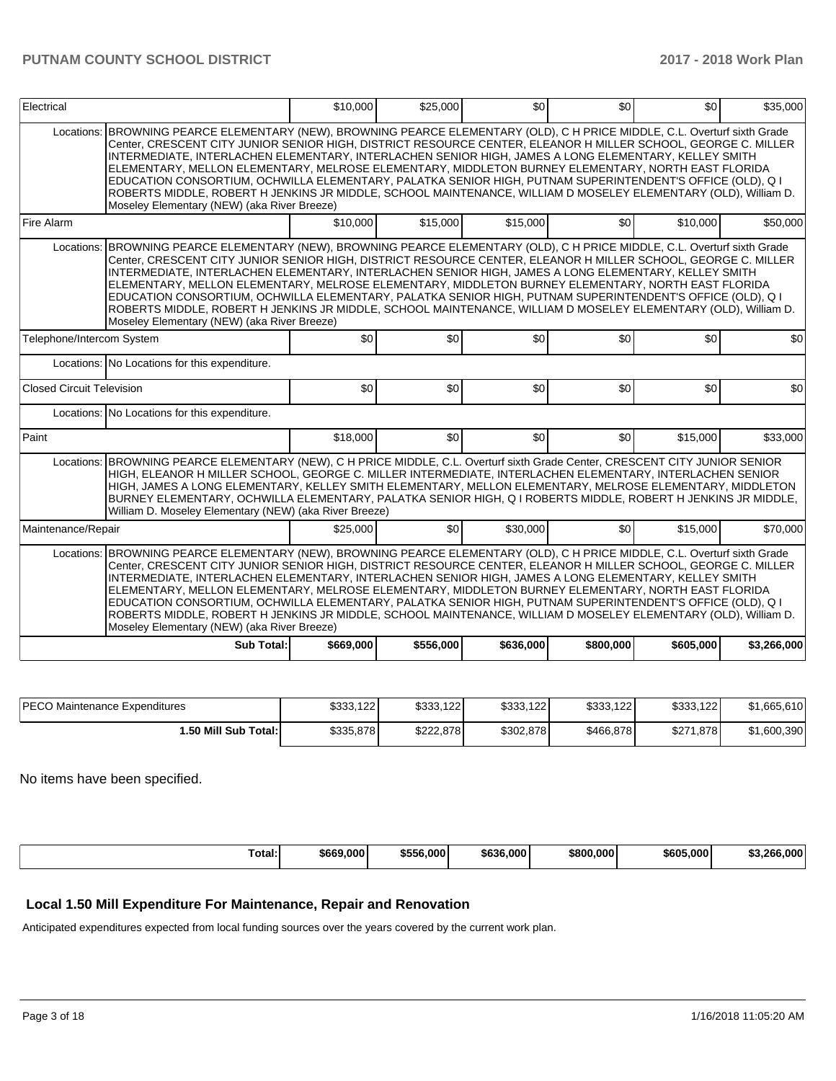| Electrical                                                                                                                                                                                                                                                                                                                                                                                                                                                                                                                                                                                                                                                                                                                                 |                                                                                                                                                                                                                                                                                                                                                                                                                                                                                                                                                                                                                                                                                                                                         | \$10,000  | \$25,000  | \$0       | \$0              | \$0       | \$35,000    |  |  |
|--------------------------------------------------------------------------------------------------------------------------------------------------------------------------------------------------------------------------------------------------------------------------------------------------------------------------------------------------------------------------------------------------------------------------------------------------------------------------------------------------------------------------------------------------------------------------------------------------------------------------------------------------------------------------------------------------------------------------------------------|-----------------------------------------------------------------------------------------------------------------------------------------------------------------------------------------------------------------------------------------------------------------------------------------------------------------------------------------------------------------------------------------------------------------------------------------------------------------------------------------------------------------------------------------------------------------------------------------------------------------------------------------------------------------------------------------------------------------------------------------|-----------|-----------|-----------|------------------|-----------|-------------|--|--|
| Locations:                                                                                                                                                                                                                                                                                                                                                                                                                                                                                                                                                                                                                                                                                                                                 | BROWNING PEARCE ELEMENTARY (NEW), BROWNING PEARCE ELEMENTARY (OLD), C H PRICE MIDDLE, C.L. Overturf sixth Grade<br>Center, CRESCENT CITY JUNIOR SENIOR HIGH, DISTRICT RESOURCE CENTER, ELEANOR H MILLER SCHOOL, GEORGE C. MILLER<br>INTERMEDIATE, INTERLACHEN ELEMENTARY, INTERLACHEN SENIOR HIGH, JAMES A LONG ELEMENTARY, KELLEY SMITH<br>ELEMENTARY, MELLON ELEMENTARY, MELROSE ELEMENTARY, MIDDLETON BURNEY ELEMENTARY, NORTH EAST FLORIDA<br>EDUCATION CONSORTIUM, OCHWILLA ELEMENTARY, PALATKA SENIOR HIGH, PUTNAM SUPERINTENDENT'S OFFICE (OLD), Q I<br>ROBERTS MIDDLE, ROBERT H JENKINS JR MIDDLE, SCHOOL MAINTENANCE, WILLIAM D MOSELEY ELEMENTARY (OLD), William D.<br>Moseley Elementary (NEW) (aka River Breeze)            |           |           |           |                  |           |             |  |  |
| Fire Alarm                                                                                                                                                                                                                                                                                                                                                                                                                                                                                                                                                                                                                                                                                                                                 |                                                                                                                                                                                                                                                                                                                                                                                                                                                                                                                                                                                                                                                                                                                                         | \$10,000  | \$15,000  | \$15,000  | \$0              | \$10,000  | \$50,000    |  |  |
|                                                                                                                                                                                                                                                                                                                                                                                                                                                                                                                                                                                                                                                                                                                                            | Locations: BROWNING PEARCE ELEMENTARY (NEW), BROWNING PEARCE ELEMENTARY (OLD), C H PRICE MIDDLE, C.L. Overturf sixth Grade<br>Center, CRESCENT CITY JUNIOR SENIOR HIGH, DISTRICT RESOURCE CENTER, ELEANOR H MILLER SCHOOL, GEORGE C. MILLER<br>INTERMEDIATE, INTERLACHEN ELEMENTARY, INTERLACHEN SENIOR HIGH, JAMES A LONG ELEMENTARY, KELLEY SMITH<br>ELEMENTARY, MELLON ELEMENTARY, MELROSE ELEMENTARY, MIDDLETON BURNEY ELEMENTARY, NORTH EAST FLORIDA<br>EDUCATION CONSORTIUM, OCHWILLA ELEMENTARY, PALATKA SENIOR HIGH, PUTNAM SUPERINTENDENT'S OFFICE (OLD), Q I<br>ROBERTS MIDDLE, ROBERT H JENKINS JR MIDDLE, SCHOOL MAINTENANCE, WILLIAM D MOSELEY ELEMENTARY (OLD), William D.<br>Moseley Elementary (NEW) (aka River Breeze) |           |           |           |                  |           |             |  |  |
| Telephone/Intercom System                                                                                                                                                                                                                                                                                                                                                                                                                                                                                                                                                                                                                                                                                                                  |                                                                                                                                                                                                                                                                                                                                                                                                                                                                                                                                                                                                                                                                                                                                         | \$0       | \$0       | \$0       | \$0              | \$0       | \$0         |  |  |
|                                                                                                                                                                                                                                                                                                                                                                                                                                                                                                                                                                                                                                                                                                                                            | Locations: No Locations for this expenditure.                                                                                                                                                                                                                                                                                                                                                                                                                                                                                                                                                                                                                                                                                           |           |           |           |                  |           |             |  |  |
| Closed Circuit Television                                                                                                                                                                                                                                                                                                                                                                                                                                                                                                                                                                                                                                                                                                                  |                                                                                                                                                                                                                                                                                                                                                                                                                                                                                                                                                                                                                                                                                                                                         | \$0       | \$0       | \$0       | \$0              | \$0       | \$0         |  |  |
|                                                                                                                                                                                                                                                                                                                                                                                                                                                                                                                                                                                                                                                                                                                                            | Locations: No Locations for this expenditure.                                                                                                                                                                                                                                                                                                                                                                                                                                                                                                                                                                                                                                                                                           |           |           |           |                  |           |             |  |  |
| Paint                                                                                                                                                                                                                                                                                                                                                                                                                                                                                                                                                                                                                                                                                                                                      |                                                                                                                                                                                                                                                                                                                                                                                                                                                                                                                                                                                                                                                                                                                                         | \$18,000  | \$0       | \$0       | \$0 <sub>1</sub> | \$15,000  | \$33,000    |  |  |
| Locations:                                                                                                                                                                                                                                                                                                                                                                                                                                                                                                                                                                                                                                                                                                                                 | BROWNING PEARCE ELEMENTARY (NEW), C H PRICE MIDDLE, C.L. Overturf sixth Grade Center, CRESCENT CITY JUNIOR SENIOR<br>HIGH, ELEANOR H MILLER SCHOOL, GEORGE C. MILLER INTERMEDIATE, INTERLACHEN ELEMENTARY, INTERLACHEN SENIOR<br>HIGH, JAMES A LONG ELEMENTARY, KELLEY SMITH ELEMENTARY, MELLON ELEMENTARY, MELROSE ELEMENTARY, MIDDLETON<br>BURNEY ELEMENTARY, OCHWILLA ELEMENTARY, PALATKA SENIOR HIGH, Q I ROBERTS MIDDLE, ROBERT H JENKINS JR MIDDLE,<br>William D. Moseley Elementary (NEW) (aka River Breeze)                                                                                                                                                                                                                     |           |           |           |                  |           |             |  |  |
| Maintenance/Repair                                                                                                                                                                                                                                                                                                                                                                                                                                                                                                                                                                                                                                                                                                                         |                                                                                                                                                                                                                                                                                                                                                                                                                                                                                                                                                                                                                                                                                                                                         | \$25,000  | \$0       | \$30,000  | \$0              | \$15,000  | \$70,000    |  |  |
| BROWNING PEARCE ELEMENTARY (NEW), BROWNING PEARCE ELEMENTARY (OLD), C H PRICE MIDDLE, C.L. Overturf sixth Grade<br>Locations:<br>Center, CRESCENT CITY JUNIOR SENIOR HIGH, DISTRICT RESOURCE CENTER, ELEANOR H MILLER SCHOOL, GEORGE C. MILLER<br>INTERMEDIATE, INTERLACHEN ELEMENTARY, INTERLACHEN SENIOR HIGH, JAMES A LONG ELEMENTARY, KELLEY SMITH<br>ELEMENTARY, MELLON ELEMENTARY, MELROSE ELEMENTARY, MIDDLETON BURNEY ELEMENTARY, NORTH EAST FLORIDA<br>EDUCATION CONSORTIUM, OCHWILLA ELEMENTARY, PALATKA SENIOR HIGH, PUTNAM SUPERINTENDENT'S OFFICE (OLD), Q I<br>ROBERTS MIDDLE, ROBERT H JENKINS JR MIDDLE, SCHOOL MAINTENANCE, WILLIAM D MOSELEY ELEMENTARY (OLD), William D.<br>Moseley Elementary (NEW) (aka River Breeze) |                                                                                                                                                                                                                                                                                                                                                                                                                                                                                                                                                                                                                                                                                                                                         |           |           |           |                  |           |             |  |  |
|                                                                                                                                                                                                                                                                                                                                                                                                                                                                                                                                                                                                                                                                                                                                            | Sub Total:                                                                                                                                                                                                                                                                                                                                                                                                                                                                                                                                                                                                                                                                                                                              | \$669,000 | \$556,000 | \$636,000 | \$800,000        | \$605,000 | \$3,266,000 |  |  |

| <b>IPECO Maintenance Expenditures</b> | \$333,122 | \$333,122 | \$333,122 | \$333,122 | \$333,122      | \$1,665,610 |
|---------------------------------------|-----------|-----------|-----------|-----------|----------------|-------------|
| 1.50 Mill Sub Total: I                | \$335,878 | \$222.878 | \$302,878 | \$466,878 | \$271<br>1.878 | \$1,600,390 |

No items have been specified.

| Total: | \$669,000 | \$556,000 | \$636,000 | \$800.000 | \$605,000 | \$3.266.000 |
|--------|-----------|-----------|-----------|-----------|-----------|-------------|
|--------|-----------|-----------|-----------|-----------|-----------|-------------|

## **Local 1.50 Mill Expenditure For Maintenance, Repair and Renovation**

Anticipated expenditures expected from local funding sources over the years covered by the current work plan.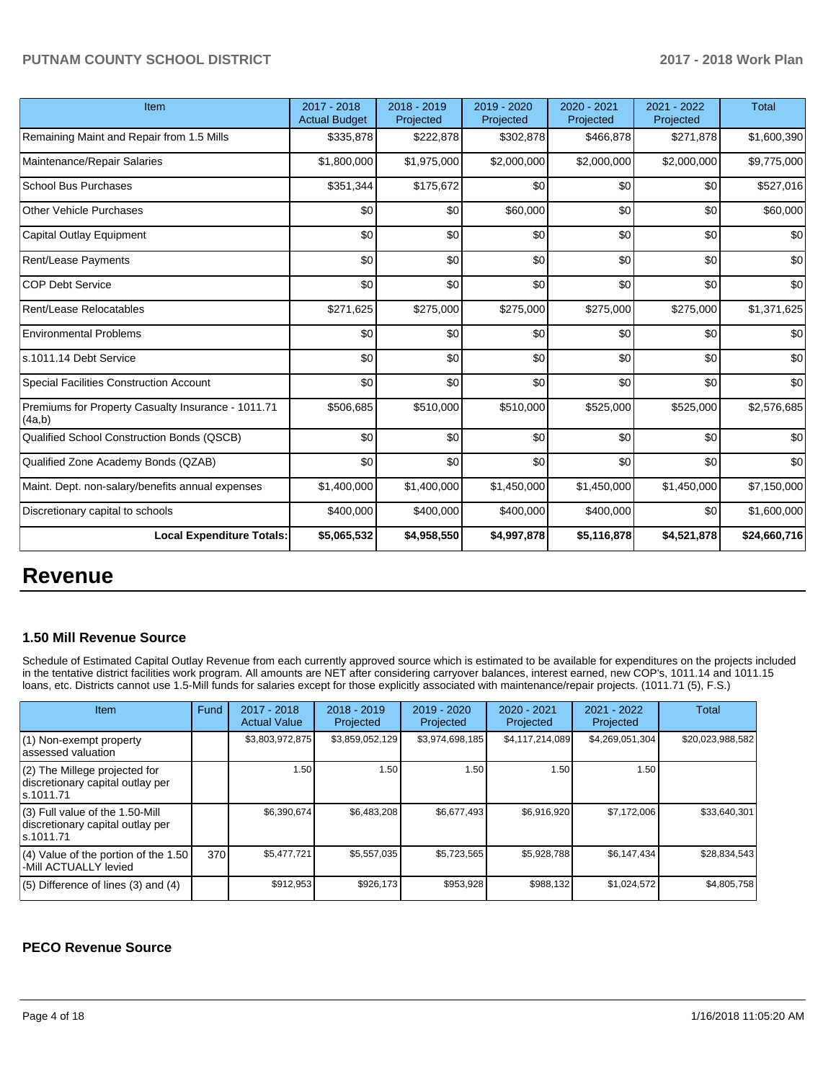| Item                                                         | 2017 - 2018<br><b>Actual Budget</b> | 2018 - 2019<br>Projected | 2019 - 2020<br>Projected | 2020 - 2021<br>Projected | 2021 - 2022<br>Projected | <b>Total</b> |
|--------------------------------------------------------------|-------------------------------------|--------------------------|--------------------------|--------------------------|--------------------------|--------------|
| Remaining Maint and Repair from 1.5 Mills                    | \$335,878                           | \$222,878                | \$302,878                | \$466,878                | \$271,878                | \$1,600,390  |
| Maintenance/Repair Salaries                                  | \$1,800,000                         | \$1,975,000              | \$2,000,000              | \$2,000,000              | \$2,000,000              | \$9,775,000  |
| <b>School Bus Purchases</b>                                  | \$351,344                           | \$175,672                | \$0                      | \$0                      | \$0                      | \$527,016    |
| <b>Other Vehicle Purchases</b>                               | \$0                                 | \$0                      | \$60,000                 | \$0                      | \$0                      | \$60,000     |
| Capital Outlay Equipment                                     | \$0                                 | \$0                      | \$0                      | \$0                      | \$0                      | \$0          |
| <b>Rent/Lease Payments</b>                                   | \$0                                 | \$0                      | \$0                      | \$0                      | \$0                      | \$0          |
| <b>COP Debt Service</b>                                      | \$0                                 | \$0                      | \$0                      | \$0                      | \$0                      | \$0          |
| Rent/Lease Relocatables                                      | \$271,625                           | \$275,000                | \$275,000                | \$275,000                | \$275,000                | \$1,371,625  |
| <b>Environmental Problems</b>                                | \$0                                 | \$0                      | \$0                      | \$0                      | \$0                      | \$0          |
| s.1011.14 Debt Service                                       | \$0                                 | \$0                      | \$0                      | \$0                      | \$0                      | \$0          |
| <b>Special Facilities Construction Account</b>               | \$0                                 | \$0                      | \$0                      | \$0                      | \$0                      | \$0          |
| Premiums for Property Casualty Insurance - 1011.71<br>(4a,b) | \$506,685                           | \$510,000                | \$510,000                | \$525,000                | \$525,000                | \$2,576,685  |
| Qualified School Construction Bonds (QSCB)                   | \$0                                 | \$0                      | \$0                      | \$0                      | \$0                      | \$0          |
| Qualified Zone Academy Bonds (QZAB)                          | \$0                                 | \$0                      | \$0                      | \$0                      | \$0                      | \$0          |
| Maint. Dept. non-salary/benefits annual expenses             | \$1,400,000                         | \$1,400,000              | \$1,450,000              | \$1,450,000              | \$1,450,000              | \$7,150,000  |
| Discretionary capital to schools                             | \$400,000                           | \$400,000                | \$400,000                | \$400,000                | \$0                      | \$1,600,000  |
| <b>Local Expenditure Totals:</b>                             | \$5,065,532                         | \$4,958,550              | \$4,997,878              | \$5,116,878              | \$4,521,878              | \$24,660,716 |

## **Revenue**

### **1.50 Mill Revenue Source**

Schedule of Estimated Capital Outlay Revenue from each currently approved source which is estimated to be available for expenditures on the projects included in the tentative district facilities work program. All amounts are NET after considering carryover balances, interest earned, new COP's, 1011.14 and 1011.15 loans, etc. Districts cannot use 1.5-Mill funds for salaries except for those explicitly associated with maintenance/repair projects. (1011.71 (5), F.S.)

| Item                                                                                | Fund | $2017 - 2018$<br><b>Actual Value</b> | $2018 - 2019$<br>Projected | $2019 - 2020$<br>Projected | $2020 - 2021$<br>Projected | 2021 - 2022<br>Projected | <b>Total</b>     |
|-------------------------------------------------------------------------------------|------|--------------------------------------|----------------------------|----------------------------|----------------------------|--------------------------|------------------|
| (1) Non-exempt property<br>lassessed valuation                                      |      | \$3,803,972,875                      | \$3,859,052,129            | \$3,974,698,185            | \$4,117,214,089            | \$4,269,051,304          | \$20,023,988,582 |
| $(2)$ The Millege projected for<br>discretionary capital outlay per<br>ls.1011.71   |      | 1.50                                 | .50 <sub>1</sub>           | 1.50 <sub>1</sub>          | 1.50                       | 1.50                     |                  |
| $(3)$ Full value of the 1.50-Mill<br>discretionary capital outlay per<br>ls.1011.71 |      | \$6.390.674                          | \$6.483.208                | \$6.677.493                | \$6.916.920                | \$7,172,006              | \$33,640,301     |
| $(4)$ Value of the portion of the 1.50<br>-Mill ACTUALLY levied                     | 370  | \$5,477,721                          | \$5,557,035                | \$5,723,565                | \$5,928,788                | \$6,147,434              | \$28,834,543     |
| $(5)$ Difference of lines $(3)$ and $(4)$                                           |      | \$912,953                            | \$926.173                  | \$953,928                  | \$988,132                  | \$1,024,572              | \$4,805,758      |

### **PECO Revenue Source**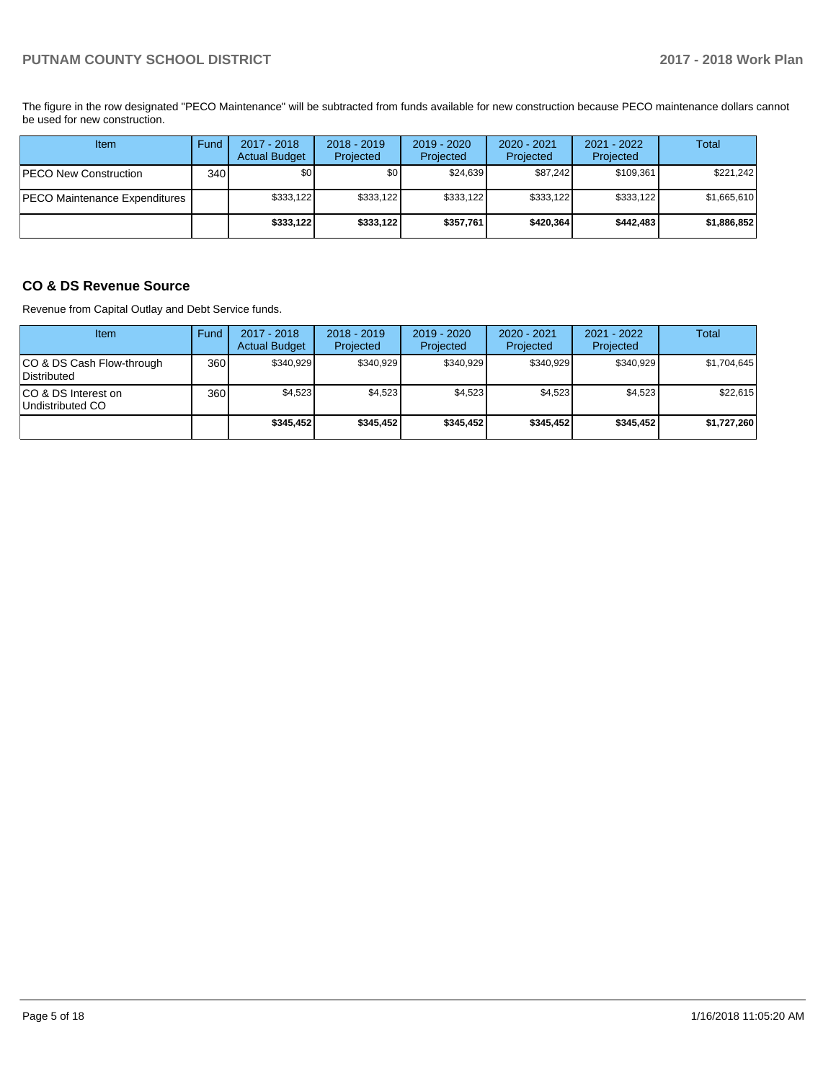The figure in the row designated "PECO Maintenance" will be subtracted from funds available for new construction because PECO maintenance dollars cannot be used for new construction.

| Item                          | Fund | $2017 - 2018$<br><b>Actual Budget</b> | $2018 - 2019$<br>Projected | $2019 - 2020$<br>Projected | $2020 - 2021$<br>Projected | $2021 - 2022$<br>Projected | Total       |
|-------------------------------|------|---------------------------------------|----------------------------|----------------------------|----------------------------|----------------------------|-------------|
| <b>PECO New Construction</b>  | 340  | \$0                                   | \$0 <sub>1</sub>           | \$24.639                   | \$87.242                   | \$109,361                  | \$221,242   |
| PECO Maintenance Expenditures |      | \$333,122                             | \$333,122                  | \$333.122                  | \$333,122                  | \$333,122                  | \$1,665,610 |
|                               |      | \$333,122                             | \$333,122                  | \$357.761                  | \$420,364                  | \$442,483                  | \$1,886,852 |

## **CO & DS Revenue Source**

Revenue from Capital Outlay and Debt Service funds.

| <b>Item</b>                               | Fund | $2017 - 2018$<br><b>Actual Budget</b> | $2018 - 2019$<br>Projected | 2019 - 2020<br>Projected | $2020 - 2021$<br>Projected | $2021 - 2022$<br>Projected | Total       |
|-------------------------------------------|------|---------------------------------------|----------------------------|--------------------------|----------------------------|----------------------------|-------------|
| ICO & DS Cash Flow-through<br>Distributed | 360  | \$340.929                             | \$340,929                  | \$340,929                | \$340.929                  | \$340,929                  | \$1,704,645 |
| ICO & DS Interest on<br>Undistributed CO  | 360  | \$4,523                               | \$4,523                    | \$4,523                  | \$4,523                    | \$4,523                    | \$22,615    |
|                                           |      | \$345.452                             | \$345.452                  | \$345.452                | \$345.452                  | \$345.452                  | \$1,727,260 |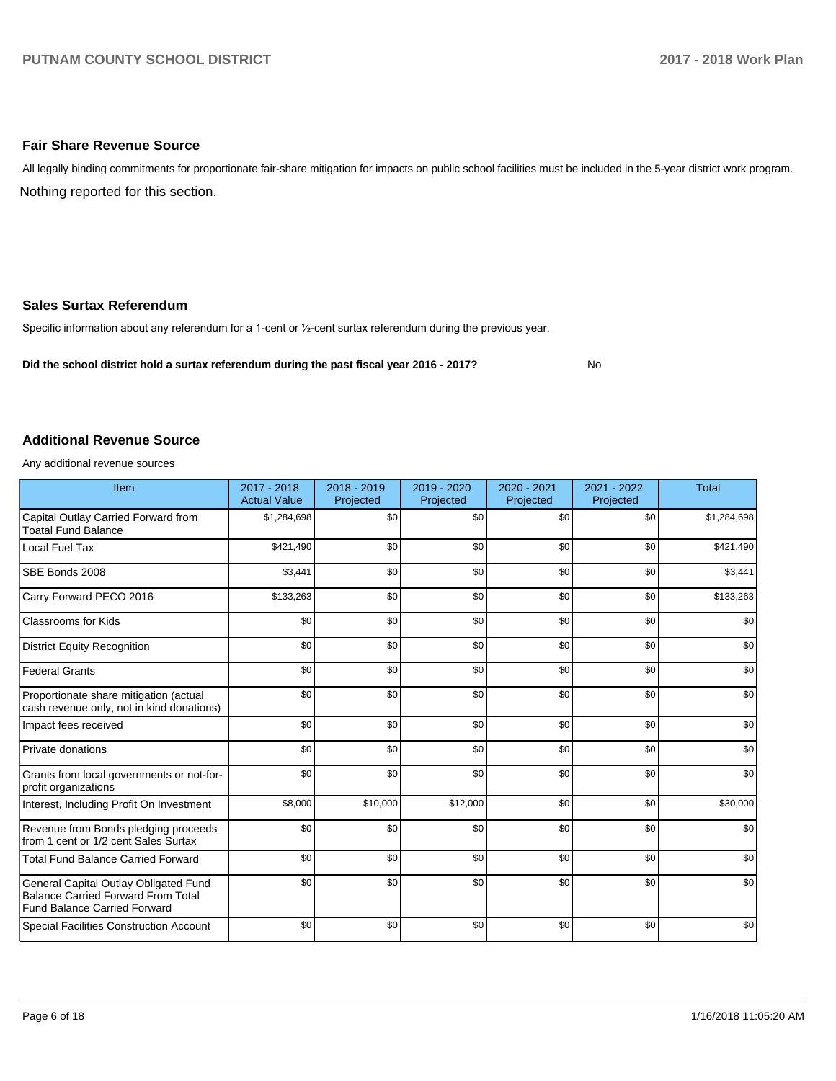## **Fair Share Revenue Source**

Nothing reported for this section. All legally binding commitments for proportionate fair-share mitigation for impacts on public school facilities must be included in the 5-year district work program.

## **Sales Surtax Referendum**

Specific information about any referendum for a 1-cent or 1/2-cent surtax referendum during the previous year.

**Did the school district hold a surtax referendum during the past fiscal year 2016 - 2017?**

No

#### **Additional Revenue Source**

Any additional revenue sources

| Item                                                                                                                      | 2017 - 2018<br><b>Actual Value</b> | 2018 - 2019<br>Projected | 2019 - 2020<br>Projected | 2020 - 2021<br>Projected | 2021 - 2022<br>Projected | <b>Total</b> |
|---------------------------------------------------------------------------------------------------------------------------|------------------------------------|--------------------------|--------------------------|--------------------------|--------------------------|--------------|
| Capital Outlay Carried Forward from<br><b>Toatal Fund Balance</b>                                                         | \$1,284,698                        | \$0                      | \$0                      | \$0                      | \$0                      | \$1,284,698  |
| Local Fuel Tax                                                                                                            | \$421,490                          | \$0                      | \$0                      | \$0                      | \$0                      | \$421,490    |
| SBE Bonds 2008                                                                                                            | \$3,441                            | \$0                      | \$0                      | \$0                      | \$0                      | \$3,441      |
| Carry Forward PECO 2016                                                                                                   | \$133,263                          | \$0                      | \$0                      | \$0                      | \$0                      | \$133,263    |
| <b>Classrooms for Kids</b>                                                                                                | \$0                                | \$0                      | \$0                      | \$0                      | \$0                      | \$0          |
| <b>District Equity Recognition</b>                                                                                        | \$0                                | \$0                      | \$0                      | \$0                      | \$0                      | \$0          |
| <b>Federal Grants</b>                                                                                                     | \$0                                | \$0                      | \$0                      | \$0                      | \$0                      | \$0          |
| Proportionate share mitigation (actual<br>cash revenue only, not in kind donations)                                       | \$0                                | \$0                      | \$0                      | \$0                      | \$0                      | \$0          |
| Impact fees received                                                                                                      | \$0                                | \$0                      | \$0                      | \$0                      | \$0                      | \$0          |
| Private donations                                                                                                         | \$0                                | \$0                      | \$0                      | \$0                      | \$0                      | \$0          |
| Grants from local governments or not-for-<br>profit organizations                                                         | \$0                                | \$0                      | \$0                      | \$0                      | \$0                      | \$0          |
| Interest, Including Profit On Investment                                                                                  | \$8,000                            | \$10,000                 | \$12,000                 | \$0                      | \$0                      | \$30,000     |
| Revenue from Bonds pledging proceeds<br>from 1 cent or 1/2 cent Sales Surtax                                              | \$0                                | \$0                      | \$0                      | \$0                      | \$0                      | \$0          |
| <b>Total Fund Balance Carried Forward</b>                                                                                 | \$0                                | \$0                      | \$0                      | \$0                      | \$0                      | \$0          |
| General Capital Outlay Obligated Fund<br><b>Balance Carried Forward From Total</b><br><b>Fund Balance Carried Forward</b> | \$0                                | \$0                      | \$0                      | \$0                      | \$0                      | \$0          |
| Special Facilities Construction Account                                                                                   | \$0                                | \$0                      | \$0                      | \$0                      | \$0                      | \$0          |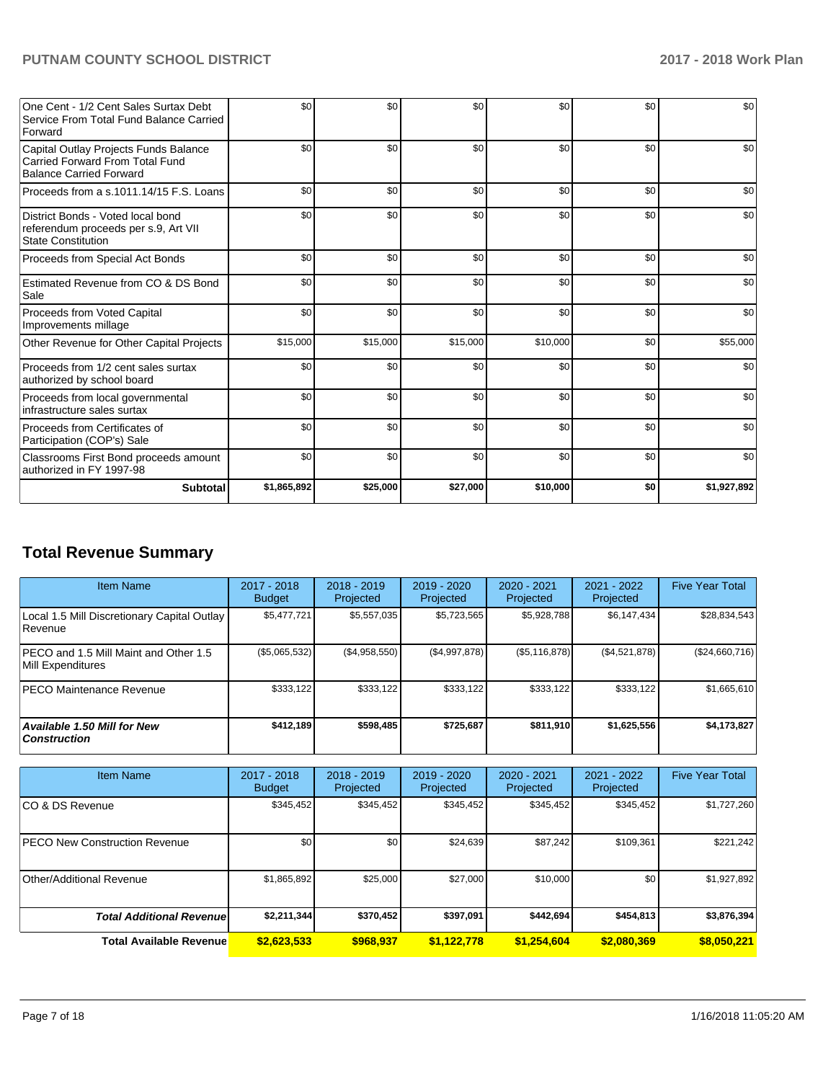| One Cent - 1/2 Cent Sales Surtax Debt<br>Service From Total Fund Balance Carried<br>Forward                | \$0         | \$0      | \$0      | \$0      | \$0 | \$0         |
|------------------------------------------------------------------------------------------------------------|-------------|----------|----------|----------|-----|-------------|
| Capital Outlay Projects Funds Balance<br>Carried Forward From Total Fund<br><b>Balance Carried Forward</b> | \$0         | \$0      | \$0      | \$0      | \$0 | \$0         |
| Proceeds from a s.1011.14/15 F.S. Loans                                                                    | \$0         | \$0      | \$0      | \$0      | \$0 | \$0         |
| District Bonds - Voted local bond<br>referendum proceeds per s.9, Art VII<br><b>State Constitution</b>     | \$0         | \$0      | \$0      | \$0      | \$0 | \$0         |
| Proceeds from Special Act Bonds                                                                            | \$0         | \$0      | \$0      | \$0      | \$0 | \$0         |
| Estimated Revenue from CO & DS Bond<br>Sale                                                                | \$0         | \$0      | \$0      | \$0      | \$0 | \$0         |
| Proceeds from Voted Capital<br>Improvements millage                                                        | \$0         | \$0      | \$0      | \$0      | \$0 | \$0         |
| Other Revenue for Other Capital Projects                                                                   | \$15,000    | \$15,000 | \$15,000 | \$10,000 | \$0 | \$55,000    |
| Proceeds from 1/2 cent sales surtax<br>authorized by school board                                          | \$0         | \$0      | \$0      | \$0      | \$0 | \$0         |
| Proceeds from local governmental<br>Infrastructure sales surtax                                            | \$0         | \$0      | \$0      | \$0      | \$0 | \$0         |
| Proceeds from Certificates of<br>Participation (COP's) Sale                                                | \$0         | \$0      | \$0      | \$0      | \$0 | \$0         |
| Classrooms First Bond proceeds amount<br>authorized in FY 1997-98                                          | \$0         | \$0      | \$0      | \$0      | \$0 | \$0         |
| <b>Subtotal</b>                                                                                            | \$1,865,892 | \$25,000 | \$27,000 | \$10,000 | \$0 | \$1,927,892 |

# **Total Revenue Summary**

| <b>Item Name</b>                                           | $2017 - 2018$<br><b>Budget</b> | $2018 - 2019$<br>Projected | $2019 - 2020$<br>Projected | $2020 - 2021$<br>Projected | 2021 - 2022<br>Projected | <b>Five Year Total</b> |
|------------------------------------------------------------|--------------------------------|----------------------------|----------------------------|----------------------------|--------------------------|------------------------|
| Local 1.5 Mill Discretionary Capital Outlay<br>Revenue     | \$5.477.721                    | \$5,557,035                | \$5.723.565                | \$5,928,788                | \$6,147,434              | \$28,834,543           |
| PECO and 1.5 Mill Maint and Other 1.5<br>Mill Expenditures | $(\$5,065,532)$                | (\$4,958,550)              | (\$4,997,878)              | (\$5,116,878)              | (\$4,521,878)            | (\$24,660,716)         |
| <b>IPECO Maintenance Revenue</b>                           | \$333.122                      | \$333,122                  | \$333.122                  | \$333.122                  | \$333,122                | \$1,665,610            |
| <b>Available 1.50 Mill for New</b><br><b>Construction</b>  | \$412,189                      | \$598,485                  | \$725.687                  | \$811,910                  | \$1,625,556              | \$4,173,827            |

| <b>Item Name</b>                      | $2017 - 2018$<br><b>Budget</b> | $2018 - 2019$<br>Projected | $2019 - 2020$<br>Projected | $2020 - 2021$<br>Projected | 2021 - 2022<br>Projected | <b>Five Year Total</b> |
|---------------------------------------|--------------------------------|----------------------------|----------------------------|----------------------------|--------------------------|------------------------|
| ICO & DS Revenue                      | \$345,452                      | \$345,452                  | \$345,452                  | \$345,452                  | \$345,452                | \$1,727,260            |
| <b>IPECO New Construction Revenue</b> | \$0                            | \$0                        | \$24,639                   | \$87,242                   | \$109,361                | \$221,242              |
| Other/Additional Revenue              | \$1,865,892                    | \$25,000                   | \$27,000                   | \$10,000                   | \$0                      | \$1,927,892            |
| <b>Total Additional Revenuel</b>      | \$2,211,344                    | \$370,452                  | \$397,091                  | \$442,694                  | \$454,813                | \$3,876,394            |
| <b>Total Available Revenue</b>        | \$2,623,533                    | \$968.937                  | \$1,122,778                | \$1.254.604                | \$2,080,369              | \$8.050.221            |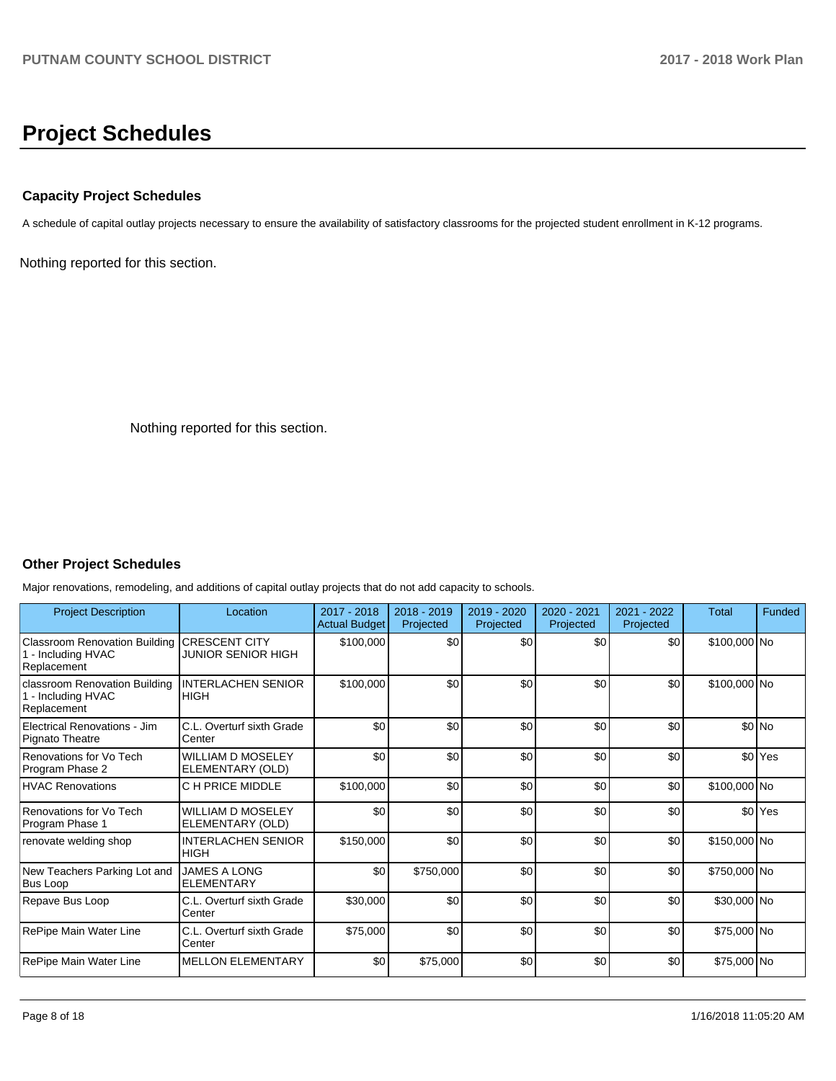# **Project Schedules**

## **Capacity Project Schedules**

A schedule of capital outlay projects necessary to ensure the availability of satisfactory classrooms for the projected student enrollment in K-12 programs.

Nothing reported for this section.

Nothing reported for this section.

## **Other Project Schedules**

Major renovations, remodeling, and additions of capital outlay projects that do not add capacity to schools.

| <b>Project Description</b>                                         | Location                                     | 2017 - 2018<br>Actual Budget | $2018 - 2019$<br>Projected | $2019 - 2020$<br>Projected | $2020 - 2021$<br>Projected | 2021 - 2022<br>Projected | <b>Total</b> | Funded             |
|--------------------------------------------------------------------|----------------------------------------------|------------------------------|----------------------------|----------------------------|----------------------------|--------------------------|--------------|--------------------|
| Classroom Renovation Building<br>1 - Including HVAC<br>Replacement | <b>CRESCENT CITY</b><br>JUNIOR SENIOR HIGH   | \$100,000                    | \$0                        | \$0                        | \$0                        | \$0                      | \$100,000 No |                    |
| classroom Renovation Building<br>- Including HVAC<br>Replacement   | <b>INTERLACHEN SENIOR</b><br>IHIGH           | \$100,000                    | \$0                        | \$0                        | \$0                        | \$0                      | \$100,000 No |                    |
| Electrical Renovations - Jim<br>Pignato Theatre                    | C.L. Overturf sixth Grade<br>Center          | \$0                          | \$0                        | \$0                        | \$0                        | \$0                      |              | \$0 No             |
| Renovations for Vo Tech<br>Program Phase 2                         | <b>WILLIAM D MOSELEY</b><br>ELEMENTARY (OLD) | \$0                          | \$0                        | \$0                        | \$0                        | \$0                      |              | \$0 <sup>Yes</sup> |
| <b>HVAC Renovations</b>                                            | C H PRICE MIDDLE                             | \$100,000                    | \$0                        | \$0                        | \$0                        | \$0                      | \$100,000 No |                    |
| Renovations for Vo Tech<br>Program Phase 1                         | <b>WILLIAM D MOSELEY</b><br>ELEMENTARY (OLD) | \$0                          | \$0                        | \$0                        | \$0                        | \$0                      |              | \$0 <sup>Yes</sup> |
| renovate welding shop                                              | <b>INTERLACHEN SENIOR</b><br><b>HIGH</b>     | \$150,000                    | \$0                        | \$0                        | \$0                        | \$0                      | \$150,000 No |                    |
| New Teachers Parking Lot and<br>Bus Loop                           | <b>JAMES A LONG</b><br><b>ELEMENTARY</b>     | \$0                          | \$750,000                  | \$0                        | \$0                        | \$0                      | \$750,000 No |                    |
| Repave Bus Loop                                                    | C.L. Overturf sixth Grade<br>Center          | \$30,000                     | \$0                        | \$0                        | \$0                        | \$0                      | \$30,000 No  |                    |
| RePipe Main Water Line                                             | C.L. Overturf sixth Grade<br>Center          | \$75,000                     | \$0                        | \$0                        | \$0                        | \$0                      | \$75,000 No  |                    |
| RePipe Main Water Line                                             | <b>MELLON ELEMENTARY</b>                     | \$0                          | \$75,000                   | \$0                        | \$0                        | \$0                      | \$75,000 No  |                    |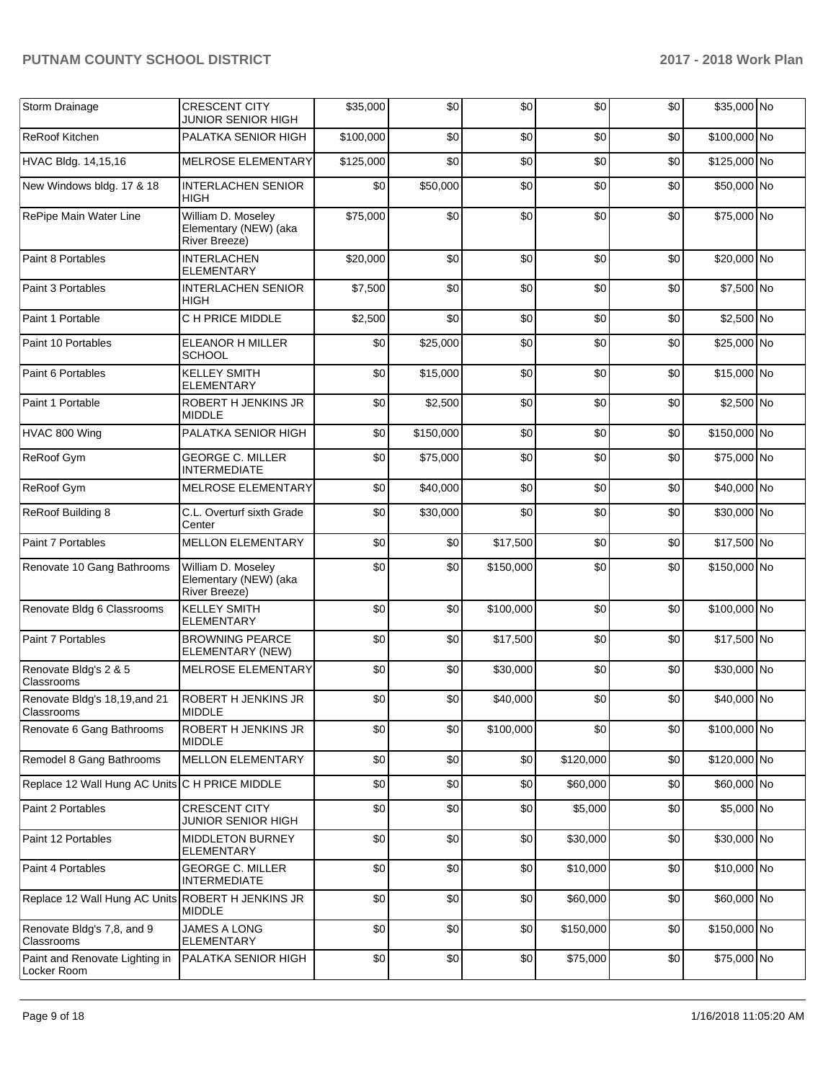| Storm Drainage                                    | <b>CRESCENT CITY</b><br><b>JUNIOR SENIOR HIGH</b>            | \$35,000  | \$0       | \$0       | \$0       | \$0 | \$35,000 No  |  |
|---------------------------------------------------|--------------------------------------------------------------|-----------|-----------|-----------|-----------|-----|--------------|--|
| ReRoof Kitchen                                    | PALATKA SENIOR HIGH                                          | \$100,000 | \$0       | \$0       | \$0       | \$0 | \$100,000 No |  |
| HVAC Bldg. 14,15,16                               | MELROSE ELEMENTARY                                           | \$125,000 | \$0       | \$0       | \$0       | \$0 | \$125,000 No |  |
| New Windows bldg. 17 & 18                         | <b>INTERLACHEN SENIOR</b><br><b>HIGH</b>                     | \$0       | \$50,000  | \$0       | \$0       | \$0 | \$50,000 No  |  |
| RePipe Main Water Line                            | William D. Moseley<br>Elementary (NEW) (aka<br>River Breeze) | \$75,000  | \$0       | \$0       | \$0       | \$0 | \$75,000 No  |  |
| Paint 8 Portables                                 | <b>INTERLACHEN</b><br><b>ELEMENTARY</b>                      | \$20,000  | \$0       | \$0       | \$0       | \$0 | \$20,000 No  |  |
| Paint 3 Portables                                 | <b>INTERLACHEN SENIOR</b><br><b>HIGH</b>                     | \$7,500   | \$0       | \$0       | \$0       | \$0 | \$7,500 No   |  |
| Paint 1 Portable                                  | C H PRICE MIDDLE                                             | \$2,500   | \$0       | \$0       | \$0       | \$0 | \$2,500 No   |  |
| Paint 10 Portables                                | <b>ELEANOR H MILLER</b><br><b>SCHOOL</b>                     | \$0       | \$25,000  | \$0       | \$0       | \$0 | \$25,000 No  |  |
| Paint 6 Portables                                 | <b>KELLEY SMITH</b><br><b>ELEMENTARY</b>                     | \$0       | \$15,000  | \$0       | \$0       | \$0 | \$15,000 No  |  |
| Paint 1 Portable                                  | ROBERT H JENKINS JR<br><b>MIDDLE</b>                         | \$0       | \$2,500   | \$0       | \$0       | \$0 | \$2,500 No   |  |
| HVAC 800 Wing                                     | PALATKA SENIOR HIGH                                          | \$0       | \$150,000 | \$0       | \$0       | \$0 | \$150,000 No |  |
| ReRoof Gym                                        | <b>GEORGE C. MILLER</b><br><b>INTERMEDIATE</b>               | \$0       | \$75,000  | \$0       | \$0       | \$0 | \$75,000 No  |  |
| ReRoof Gym                                        | MELROSE ELEMENTARY                                           | \$0       | \$40,000  | \$0       | \$0       | \$0 | \$40,000 No  |  |
| ReRoof Building 8                                 | C.L. Overturf sixth Grade<br>Center                          | \$0       | \$30,000  | \$0       | \$0       | \$0 | \$30,000 No  |  |
| Paint 7 Portables                                 | <b>MELLON ELEMENTARY</b>                                     | \$0       | \$0       | \$17,500  | \$0       | \$0 | \$17,500 No  |  |
| Renovate 10 Gang Bathrooms                        | William D. Moseley<br>Elementary (NEW) (aka<br>River Breeze) | \$0       | \$0       | \$150,000 | \$0       | \$0 | \$150,000 No |  |
| Renovate Bldg 6 Classrooms                        | <b>KELLEY SMITH</b><br><b>ELEMENTARY</b>                     | \$0       | \$0       | \$100,000 | \$0       | \$0 | \$100,000 No |  |
| Paint 7 Portables                                 | <b>BROWNING PEARCE</b><br>ELEMENTARY (NEW)                   | \$0       | \$0       | \$17,500  | \$0       | \$0 | \$17,500 No  |  |
| Renovate Bldg's 2 & 5<br>Classrooms               | MELROSE ELEMENTARY                                           | \$0       | \$0       | \$30,000  | \$0       | \$0 | \$30,000 No  |  |
| Renovate Bldg's 18,19, and 21<br>Classrooms       | ROBERT H JENKINS JR<br><b>MIDDLE</b>                         | \$0       | \$0       | \$40,000  | \$0       | \$0 | \$40,000 No  |  |
| Renovate 6 Gang Bathrooms                         | ROBERT H JENKINS JR<br><b>MIDDLE</b>                         | \$0       | \$0       | \$100,000 | \$0       | \$0 | \$100,000 No |  |
| Remodel 8 Gang Bathrooms                          | MELLON ELEMENTARY                                            | \$0       | \$0       | \$0       | \$120,000 | \$0 | \$120,000 No |  |
| Replace 12 Wall Hung AC Units C H PRICE MIDDLE    |                                                              | \$0       | \$0       | \$0       | \$60,000  | \$0 | \$60,000 No  |  |
| Paint 2 Portables                                 | <b>CRESCENT CITY</b><br><b>JUNIOR SENIOR HIGH</b>            | \$0       | \$0       | \$0       | \$5,000   | \$0 | \$5,000 No   |  |
| Paint 12 Portables                                | MIDDLETON BURNEY<br>ELEMENTARY                               | \$0       | \$0       | \$0       | \$30,000  | \$0 | \$30,000 No  |  |
| Paint 4 Portables                                 | <b>GEORGE C. MILLER</b><br><b>INTERMEDIATE</b>               | \$0       | \$0       | \$0       | \$10,000  | \$0 | \$10,000 No  |  |
| Replace 12 Wall Hung AC Units ROBERT H JENKINS JR | <b>MIDDLE</b>                                                | \$0       | \$0       | \$0       | \$60,000  | \$0 | \$60,000 No  |  |
| Renovate Bldg's 7,8, and 9<br>Classrooms          | JAMES A LONG<br><b>ELEMENTARY</b>                            | \$0       | \$0       | \$0       | \$150,000 | \$0 | \$150,000 No |  |
| Paint and Renovate Lighting in<br>Locker Room     | PALATKA SENIOR HIGH                                          | \$0       | \$0       | \$0       | \$75,000  | \$0 | \$75,000 No  |  |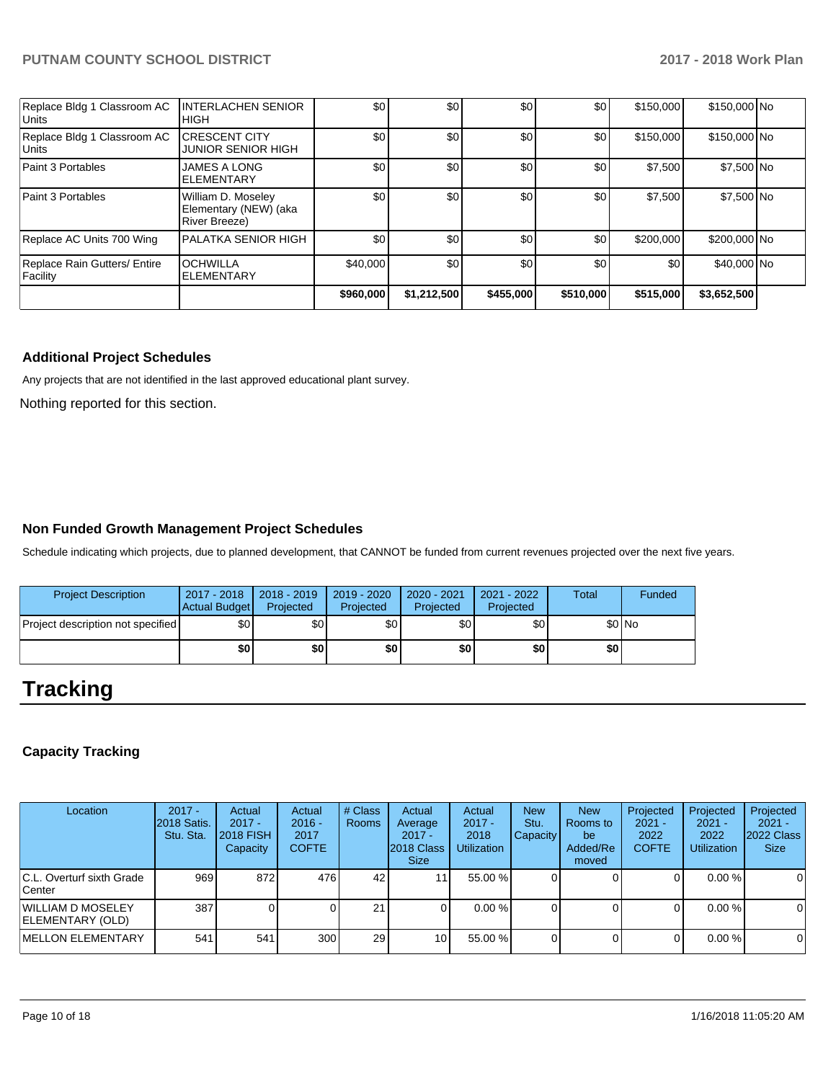| Replace Bldg 1 Classroom AC<br><b>Units</b> | <b>INTERLACHEN SENIOR</b><br><b>IHIGH</b>                           | \$0       | \$0         | \$0       | \$0       | \$150,000 | \$150,000 No |  |
|---------------------------------------------|---------------------------------------------------------------------|-----------|-------------|-----------|-----------|-----------|--------------|--|
| Replace Bldg 1 Classroom AC<br><b>Units</b> | <b>ICRESCENT CITY</b><br><b>JUNIOR SENIOR HIGH</b>                  | \$0       | \$0         | \$0       | \$0       | \$150,000 | \$150,000 No |  |
| Paint 3 Portables                           | <b>JAMES A LONG</b><br><b>IELEMENTARY</b>                           | \$0       | \$0         | \$0       | \$0       | \$7,500   | \$7,500 No   |  |
| Paint 3 Portables                           | William D. Moseley<br>Elementary (NEW) (aka<br><b>River Breeze)</b> | \$0       | \$0         | \$0       | \$0       | \$7,500   | \$7,500 No   |  |
| Replace AC Units 700 Wing                   | <b>IPALATKA SENIOR HIGH</b>                                         | \$0       | \$0         | \$0       | \$0       | \$200,000 | \$200,000 No |  |
| Replace Rain Gutters/ Entire<br>Facility    | <b>OCHWILLA</b><br><b>ELEMENTARY</b>                                | \$40,000  | \$0         | \$0       | \$0       | \$0       | \$40,000 No  |  |
|                                             |                                                                     | \$960,000 | \$1,212,500 | \$455,000 | \$510,000 | \$515,000 | \$3,652,500  |  |

### **Additional Project Schedules**

Any projects that are not identified in the last approved educational plant survey.

Nothing reported for this section.

## **Non Funded Growth Management Project Schedules**

Schedule indicating which projects, due to planned development, that CANNOT be funded from current revenues projected over the next five years.

| <b>Project Description</b>               | 2017 - 2018<br>Actual Budget | $2018 - 2019$<br>Projected | 2019 - 2020<br>Projected | 2020 - 2021<br>Projected | 2021 - 2022<br>Projected | <b>Total</b> | Funded  |
|------------------------------------------|------------------------------|----------------------------|--------------------------|--------------------------|--------------------------|--------------|---------|
| <b>Project description not specified</b> | \$٥                          | \$0 <sub>1</sub>           | \$0                      | \$0                      | \$0                      |              | $$0$ No |
|                                          | \$0                          | \$0                        | \$0                      | \$0 I                    | \$0                      | \$0          |         |

# **Tracking**

## **Capacity Tracking**

| Location                                      | $2017 -$<br>2018 Satis.<br>Stu. Sta. | Actual<br>$2017 -$<br><b>2018 FISH</b><br>Capacity | Actual<br>$2016 -$<br>2017<br><b>COFTE</b> | # Class<br><b>Rooms</b> | Actual<br>Average<br>$2017 -$<br>2018 Class<br>Size: | Actual<br>$2017 -$<br>2018<br><b>Utilization</b> | <b>New</b><br>Stu.<br><b>Capacity</b> | <b>New</b><br>Rooms to<br>be<br>Added/Re<br>moved | Projected<br>$2021 -$<br>2022<br><b>COFTE</b> | Projected<br>$2021 -$<br>2022<br><b>Utilization</b> | Projected<br>$2021 -$<br>2022 Class<br><b>Size</b> |
|-----------------------------------------------|--------------------------------------|----------------------------------------------------|--------------------------------------------|-------------------------|------------------------------------------------------|--------------------------------------------------|---------------------------------------|---------------------------------------------------|-----------------------------------------------|-----------------------------------------------------|----------------------------------------------------|
| IC.L. Overturf sixth Grade<br>lCenter         | 969                                  | 872                                                | 476                                        | 42                      |                                                      | 55.00 %                                          |                                       |                                                   | O                                             | $0.00 \%$                                           | 0                                                  |
| WILLIAM D MOSELEY<br><b>IELEMENTARY (OLD)</b> | 387                                  |                                                    |                                            | 21 <sub>1</sub>         |                                                      | 0.00%                                            |                                       |                                                   |                                               | $0.00 \%$                                           | $\overline{0}$                                     |
| <b>IMELLON ELEMENTARY</b>                     | 541                                  | 541                                                | 300                                        | 29                      | 10                                                   | 55.00 %                                          |                                       |                                                   |                                               | 0.00%                                               | $\overline{0}$                                     |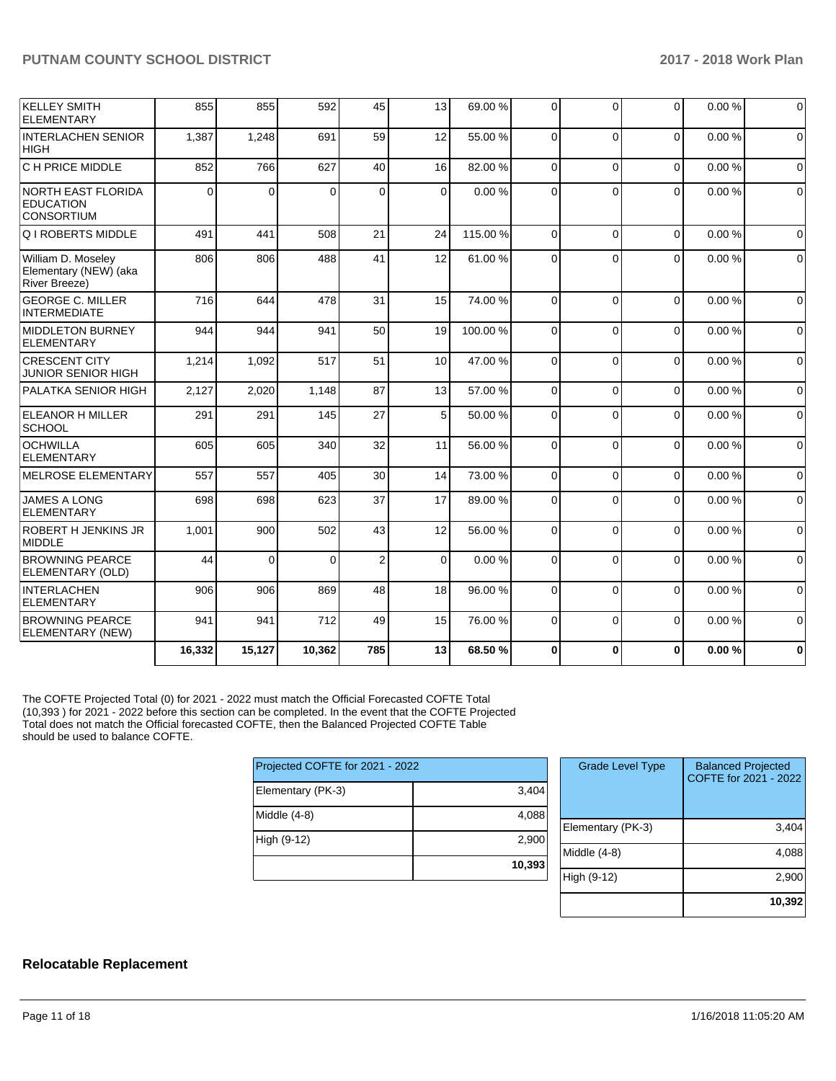| <b>KELLEY SMITH</b><br><b>ELEMENTARY</b>                            | 855      | 855      | 592      | 45             | 13          | 69.00 %  | $\Omega$ | $\Omega$ | $\Omega$       | 0.00% | $\Omega$    |
|---------------------------------------------------------------------|----------|----------|----------|----------------|-------------|----------|----------|----------|----------------|-------|-------------|
| <b>INTERLACHEN SENIOR</b><br><b>HIGH</b>                            | 1,387    | 1,248    | 691      | 59             | 12          | 55.00 %  | $\Omega$ | $\Omega$ | $\Omega$       | 0.00% | $\Omega$    |
| C H PRICE MIDDLE                                                    | 852      | 766      | 627      | 40             | 16          | 82.00 %  | $\Omega$ | $\Omega$ | $\Omega$       | 0.00% | $\Omega$    |
| <b>NORTH EAST FLORIDA</b><br><b>EDUCATION</b><br><b>CONSORTIUM</b>  | $\Omega$ | $\Omega$ | $\Omega$ | $\Omega$       | $\Omega$    | 0.00%    | $\Omega$ | $\Omega$ | $\Omega$       | 0.00% | $\Omega$    |
| <b>Q I ROBERTS MIDDLE</b>                                           | 491      | 441      | 508      | 21             | 24          | 115.00 % | $\Omega$ | $\Omega$ | $\Omega$       | 0.00% | $\Omega$    |
| William D. Moseley<br>Elementary (NEW) (aka<br><b>River Breeze)</b> | 806      | 806      | 488      | 41             | 12          | 61.00%   | $\Omega$ | $\Omega$ | $\Omega$       | 0.00% | $\mathbf 0$ |
| <b>GEORGE C. MILLER</b><br><b>INTERMEDIATE</b>                      | 716      | 644      | 478      | 31             | 15          | 74.00%   | $\Omega$ | $\Omega$ | $\mathbf{0}$   | 0.00% | $\Omega$    |
| <b>MIDDLETON BURNEY</b><br>ELEMENTARY                               | 944      | 944      | 941      | 50             | 19          | 100.00%  | $\Omega$ | $\Omega$ | $\overline{0}$ | 0.00% | $\Omega$    |
| <b>CRESCENT CITY</b><br><b>JUNIOR SENIOR HIGH</b>                   | 1,214    | 1.092    | 517      | 51             | 10          | 47.00 %  | $\Omega$ | $\Omega$ | $\Omega$       | 0.00% | $\mathbf 0$ |
| PALATKA SENIOR HIGH                                                 | 2,127    | 2,020    | 1,148    | 87             | 13          | 57.00 %  | $\Omega$ | $\Omega$ | $\mathbf 0$    | 0.00% | $\mathbf 0$ |
| <b>ELEANOR H MILLER</b><br>SCHOOL                                   | 291      | 291      | 145      | 27             | 5           | 50.00 %  | $\Omega$ | $\Omega$ | $\mathbf 0$    | 0.00% | $\mathbf 0$ |
| <b>OCHWILLA</b><br><b>ELEMENTARY</b>                                | 605      | 605      | 340      | 32             | 11          | 56.00 %  | $\Omega$ | $\Omega$ | $\Omega$       | 0.00% | $\mathbf 0$ |
| <b>MELROSE ELEMENTARY</b>                                           | 557      | 557      | 405      | 30             | 14          | 73.00 %  | $\Omega$ | $\Omega$ | $\mathbf 0$    | 0.00% | $\mathbf 0$ |
| JAMES A LONG<br><b>ELEMENTARY</b>                                   | 698      | 698      | 623      | 37             | 17          | 89.00 %  | $\Omega$ | $\Omega$ | $\Omega$       | 0.00% | $\mathbf 0$ |
| ROBERT H JENKINS JR<br><b>MIDDLE</b>                                | 1,001    | 900      | 502      | 43             | 12          | 56.00 %  | $\Omega$ | $\Omega$ | $\Omega$       | 0.00% | $\mathbf 0$ |
| <b>BROWNING PEARCE</b><br>ELEMENTARY (OLD)                          | 44       | $\Omega$ | $\Omega$ | $\overline{2}$ | $\mathbf 0$ | 0.00%    | $\Omega$ | $\Omega$ | $\Omega$       | 0.00% | $\mathbf 0$ |
| <b>INTERLACHEN</b><br><b>ELEMENTARY</b>                             | 906      | 906      | 869      | 48             | 18          | 96.00 %  | $\Omega$ | $\Omega$ | $\Omega$       | 0.00% | $\Omega$    |
| <b>BROWNING PEARCE</b><br>ELEMENTARY (NEW)                          | 941      | 941      | 712      | 49             | 15          | 76.00 %  | $\Omega$ | $\Omega$ | $\Omega$       | 0.00% | $\Omega$    |
|                                                                     | 16,332   | 15,127   | 10,362   | 785            | 13          | 68.50%   | $\bf{0}$ | $\Omega$ | $\bf{0}$       | 0.00% | $\bf{0}$    |

The COFTE Projected Total (0) for 2021 - 2022 must match the Official Forecasted COFTE Total (10,393 ) for 2021 - 2022 before this section can be completed. In the event that the COFTE Projected Total does not match the Official forecasted COFTE, then the Balanced Projected COFTE Table should be used to balance COFTE.

| Projected COFTE for 2021 - 2022 |        |  |  |  |  |  |
|---------------------------------|--------|--|--|--|--|--|
| Elementary (PK-3)               | 3,404  |  |  |  |  |  |
| Middle $(4-8)$                  | 4,088  |  |  |  |  |  |
| High (9-12)                     | 2,900  |  |  |  |  |  |
|                                 | 10,393 |  |  |  |  |  |

| <b>Grade Level Type</b> | <b>Balanced Projected</b><br>COFTE for 2021 - 2022 |
|-------------------------|----------------------------------------------------|
| Elementary (PK-3)       | 3,404                                              |
| Middle $(4-8)$          | 4,088                                              |
| High (9-12)             | 2,900                                              |
|                         | 10,392                                             |

## **Relocatable Replacement**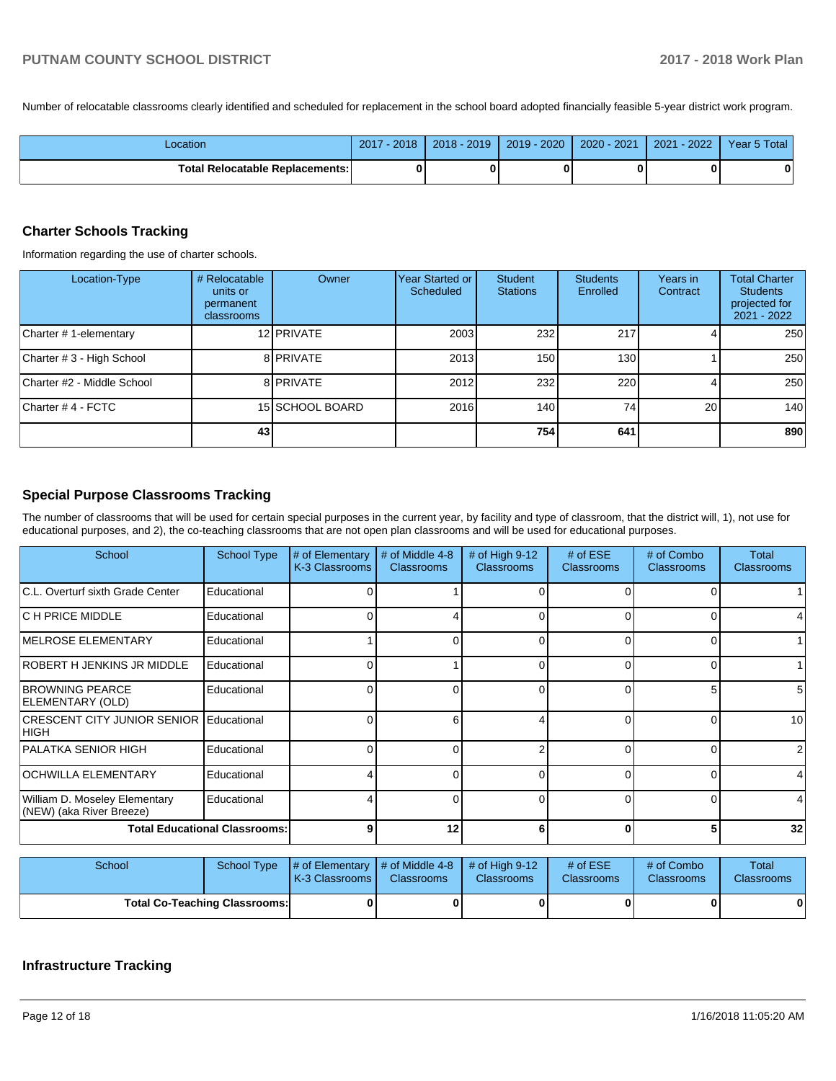Number of relocatable classrooms clearly identified and scheduled for replacement in the school board adopted financially feasible 5-year district work program.

| Location                               | 2017<br>$-2018$ | 2018 - 2019 | $2019 - 2020$ | 2020 - 2021 | $-2022$<br>2021 | Year 5 Total |
|----------------------------------------|-----------------|-------------|---------------|-------------|-----------------|--------------|
| <b>Total Relocatable Replacements:</b> |                 |             |               |             |                 | 0            |

#### **Charter Schools Tracking**

Information regarding the use of charter schools.

| Location-Type              | # Relocatable<br>units or<br>permanent<br>classrooms | Owner           | Year Started or<br>Scheduled | Student<br><b>Stations</b> | <b>Students</b><br>Enrolled | Years in<br>Contract | <b>Total Charter</b><br><b>Students</b><br>projected for<br>2021 - 2022 |
|----------------------------|------------------------------------------------------|-----------------|------------------------------|----------------------------|-----------------------------|----------------------|-------------------------------------------------------------------------|
| Charter # 1-elementary     |                                                      | 12 PRIVATE      | 2003                         | 232                        | 217                         |                      | 250                                                                     |
| Charter # 3 - High School  |                                                      | 8 PRIVATE       | 2013                         | 150                        | 130                         |                      | 250                                                                     |
| Charter #2 - Middle School |                                                      | 8 PRIVATE       | 2012                         | 232                        | 220                         |                      | 250                                                                     |
| Charter # 4 - FCTC         |                                                      | 15 SCHOOL BOARD | 2016                         | 140                        | 74                          | 20 <sub>1</sub>      | 140                                                                     |
|                            | 43                                                   |                 |                              | <b>754</b>                 | 641                         |                      | 890                                                                     |

## **Special Purpose Classrooms Tracking**

The number of classrooms that will be used for certain special purposes in the current year, by facility and type of classroom, that the district will, 1), not use for educational purposes, and 2), the co-teaching classrooms that are not open plan classrooms and will be used for educational purposes.

| School                                                    | <b>School Type</b> | # of Elementary<br>K-3 Classrooms | # of Middle 4-8<br><b>Classrooms</b> | # of High 9-12<br><b>Classrooms</b> | $#$ of ESE<br><b>Classrooms</b> | # of Combo<br><b>Classrooms</b> | Total<br><b>Classrooms</b> |
|-----------------------------------------------------------|--------------------|-----------------------------------|--------------------------------------|-------------------------------------|---------------------------------|---------------------------------|----------------------------|
| C.L. Overturf sixth Grade Center                          | Educational        |                                   |                                      |                                     |                                 | 0                               |                            |
| IC H PRICE MIDDLE                                         | Educational        |                                   |                                      | ∩                                   |                                 | 0                               |                            |
| <b>IMELROSE ELEMENTARY</b>                                | Educational        |                                   |                                      | $\Omega$                            |                                 | 01                              |                            |
| ROBERT H JENKINS JR MIDDLE                                | Educational        |                                   |                                      | $\Omega$                            |                                 | 01                              |                            |
| <b>BROWNING PEARCE</b><br>ELEMENTARY (OLD)                | Educational        |                                   | O                                    | $\Omega$                            |                                 | 51                              | 5 <sup>1</sup>             |
| <b>CRESCENT CITY JUNIOR SENIOR</b><br> HIGH               | Educational        |                                   | 6                                    |                                     |                                 | ΟI                              | 10                         |
| PALATKA SENIOR HIGH                                       | Educational        |                                   |                                      |                                     |                                 | 0                               | $\overline{2}$             |
| <b>OCHWILLA ELEMENTARY</b>                                | Educational        |                                   | O                                    | $\Omega$                            | 0                               | $\overline{0}$                  |                            |
| William D. Moseley Elementary<br>(NEW) (aka River Breeze) | Educational        |                                   | O                                    | 0                                   |                                 | $\Omega$                        |                            |
| <b>Total Educational Classrooms:</b>                      |                    |                                   | 12                                   |                                     |                                 | 5                               | 32                         |

| School                               |  | School Type $\mu$ of Elementary $\mu$ of Middle 4-8 $\mu$ of High 9-12<br><b>K-3 Classrooms I</b> | <b>Classrooms</b> | <b>Classrooms</b> | # of $ESE$<br><b>Classrooms</b> | # of Combo<br><b>Classrooms</b> | Total<br><b>Classrooms</b> |
|--------------------------------------|--|---------------------------------------------------------------------------------------------------|-------------------|-------------------|---------------------------------|---------------------------------|----------------------------|
| <b>Total Co-Teaching Classrooms:</b> |  |                                                                                                   |                   |                   |                                 | 0                               | 01                         |

## **Infrastructure Tracking**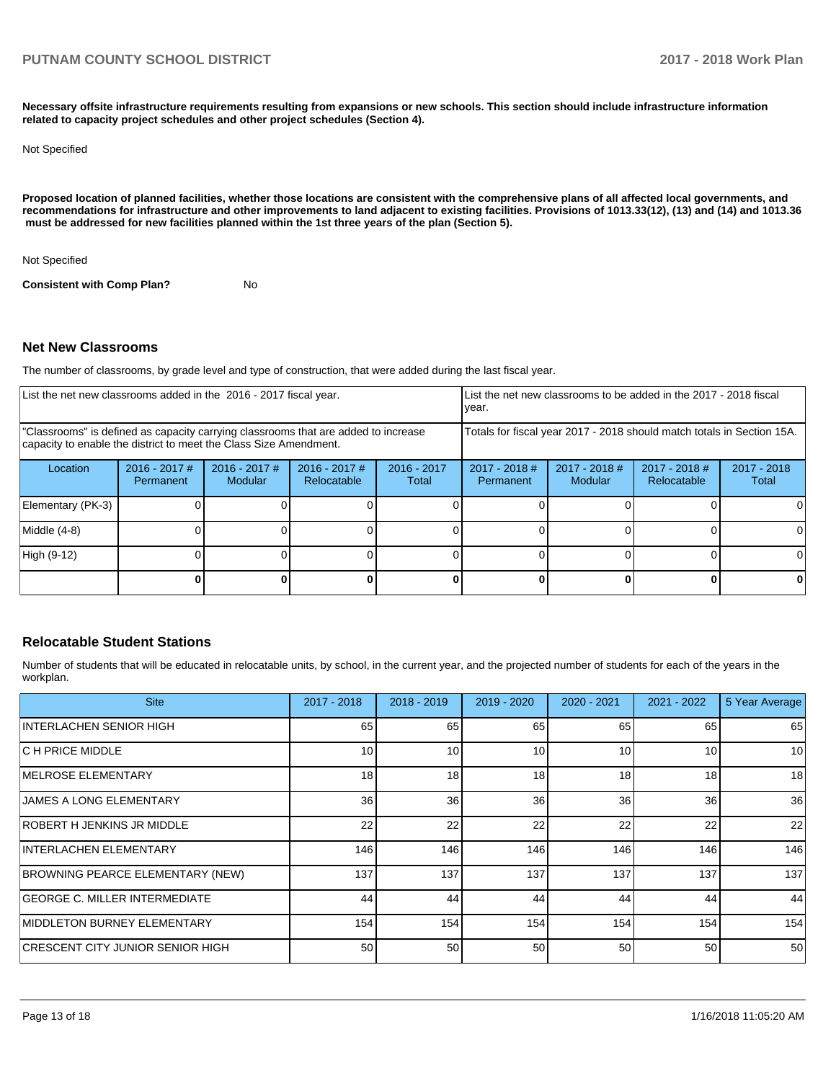**Necessary offsite infrastructure requirements resulting from expansions or new schools. This section should include infrastructure information related to capacity project schedules and other project schedules (Section 4).** 

#### Not Specified

**Proposed location of planned facilities, whether those locations are consistent with the comprehensive plans of all affected local governments, and recommendations for infrastructure and other improvements to land adjacent to existing facilities. Provisions of 1013.33(12), (13) and (14) and 1013.36** must be addressed for new facilities planned within the 1st three years of the plan (Section 5).

Not Specified

**Consistent with Comp Plan?** No

### **Net New Classrooms**

The number of classrooms, by grade level and type of construction, that were added during the last fiscal year.

| List the net new classrooms added in the 2016 - 2017 fiscal year.                                                                                       |                              |                                   |                                |                        | List the net new classrooms to be added in the 2017 - 2018 fiscal<br>year. |                            |                                     |                        |
|---------------------------------------------------------------------------------------------------------------------------------------------------------|------------------------------|-----------------------------------|--------------------------------|------------------------|----------------------------------------------------------------------------|----------------------------|-------------------------------------|------------------------|
| "Classrooms" is defined as capacity carrying classrooms that are added to increase<br>capacity to enable the district to meet the Class Size Amendment. |                              |                                   |                                |                        | Totals for fiscal year 2017 - 2018 should match totals in Section 15A.     |                            |                                     |                        |
| Location                                                                                                                                                | $2016 - 2017$ #<br>Permanent | $2016 - 2017$ #<br><b>Modular</b> | $2016 - 2017$ #<br>Relocatable | $2016 - 2017$<br>Total | $2017 - 2018$ #<br>Permanent                                               | $2017 - 2018$ #<br>Modular | 2017 - 2018 #<br><b>Relocatable</b> | $2017 - 2018$<br>Total |
| Elementary (PK-3)                                                                                                                                       |                              |                                   |                                |                        |                                                                            |                            |                                     |                        |
| Middle (4-8)                                                                                                                                            |                              |                                   |                                |                        |                                                                            |                            |                                     |                        |
| High (9-12)                                                                                                                                             |                              |                                   |                                |                        |                                                                            |                            |                                     |                        |
|                                                                                                                                                         |                              |                                   |                                |                        |                                                                            |                            |                                     |                        |

### **Relocatable Student Stations**

Number of students that will be educated in relocatable units, by school, in the current year, and the projected number of students for each of the years in the workplan.

| <b>Site</b>                             | $2017 - 2018$ | $2018 - 2019$ | 2019 - 2020     | 2020 - 2021 | $2021 - 2022$ | 5 Year Average |
|-----------------------------------------|---------------|---------------|-----------------|-------------|---------------|----------------|
| INTERLACHEN SENIOR HIGH                 | 65            | 65            | 65              | 65          | 65            | 65             |
| IC H PRICE MIDDLE                       | 10            | 10            | 10 <sup>1</sup> | 10          | 10            | 10             |
| IMELROSE ELEMENTARY                     | 18            | 18            | 18              | 18          | 18            | 18             |
| <b>JAMES A LONG ELEMENTARY</b>          | 36            | 36            | 36              | 36          | 36            | 36             |
| ROBERT H JENKINS JR MIDDLE              | 22            | 22            | 22              | 22          | 22            | 22             |
| INTERLACHEN ELEMENTARY                  | 146           | 146           | 146             | 146         | 146           | 146            |
| <b>BROWNING PEARCE ELEMENTARY (NEW)</b> | 137           | 137           | 137             | 137         | 137           | 137            |
| <b>GEORGE C. MILLER INTERMEDIATE</b>    | 44            | 44            | 44              | 44          | 44            | 44             |
| MIDDLETON BURNEY ELEMENTARY             | 154           | 154           | 154             | 154         | 154           | 154            |
| ICRESCENT CITY JUNIOR SENIOR HIGH       | 50            | 50            | 50              | 50          | 50            | 50             |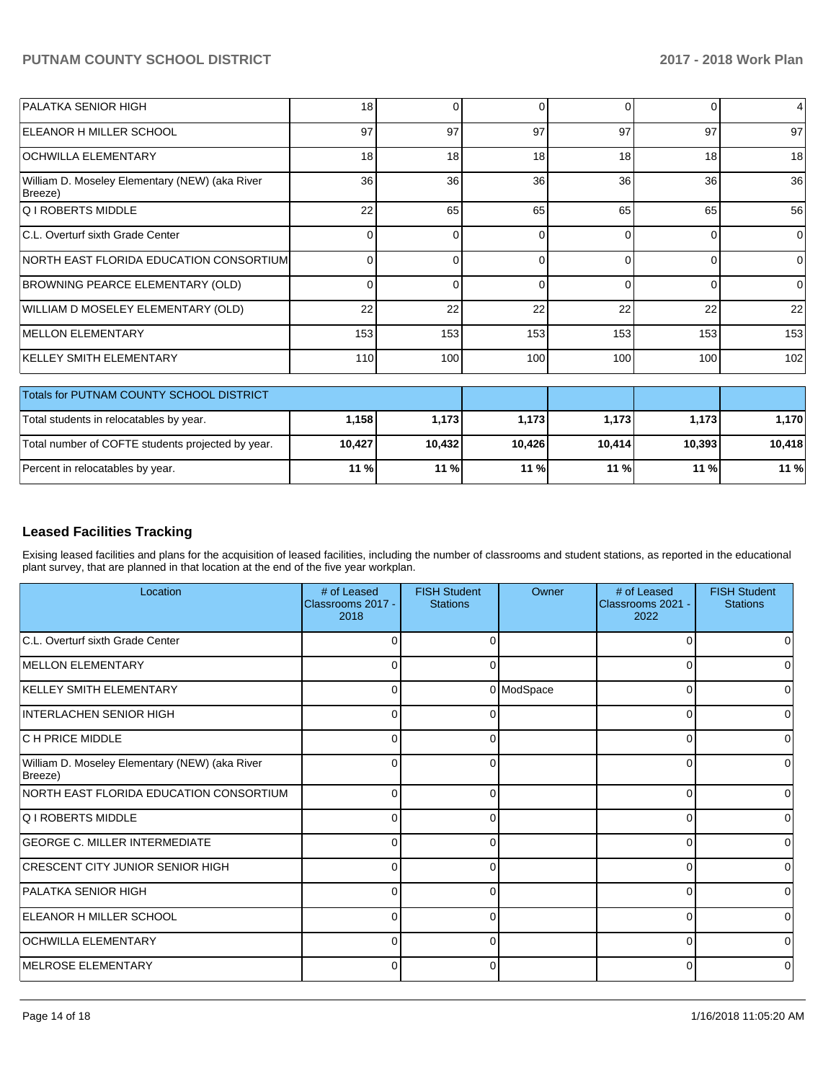| <b>PALATKA SENIOR HIGH</b>                                | 18 <sup>1</sup> | ŋ        | 0        | 0        | 0      | $\overline{4}$ |
|-----------------------------------------------------------|-----------------|----------|----------|----------|--------|----------------|
| <b>IELEANOR H MILLER SCHOOL</b>                           | 97              | 97       | 97       | 97       | 97     | 97             |
| <b>OCHWILLA ELEMENTARY</b>                                | 18 <sup>1</sup> | 18       | 18       | 18       | 18     | 18             |
| William D. Moseley Elementary (NEW) (aka River<br>Breeze) | 36 <sup>1</sup> | 36       | 36       | 36       | 36     | 36             |
| <b>Q I ROBERTS MIDDLE</b>                                 | 22              | 65       | 65       | 65       | 65     | 56             |
| C.L. Overturf sixth Grade Center                          | 0               | O        | $\Omega$ | $\Omega$ | 0      | $\Omega$       |
| INORTH EAST FLORIDA EDUCATION CONSORTIUM                  | 0               | 0        | $\Omega$ | $\Omega$ | 0      | 0              |
| BROWNING PEARCE ELEMENTARY (OLD)                          | $\Omega$        | $\Omega$ | $\Omega$ | $\Omega$ | 0      | $\Omega$       |
| WILLIAM D MOSELEY ELEMENTARY (OLD)                        | 22              | 22       | 22       | 22       | 22     | 22             |
| <b>MELLON ELEMENTARY</b>                                  | 153             | 153      | 153      | 153      | 153    | 153            |
| KELLEY SMITH ELEMENTARY                                   | 110             | 100      | 100      | 100      | 100    | 102            |
| <b>Totals for PUTNAM COUNTY SCHOOL DISTRICT</b>           |                 |          |          |          |        |                |
| Total students in relocatables by year.                   | 1,158           | 1,173    | 1,173    | 1,173    | 1,173  | 1,170          |
| Total number of COFTE students projected by year.         | 10,427          | 10,432   | 10,426   | 10,414   | 10,393 | 10,418         |
| Percent in relocatables by year.                          | 11 %            | 11 %     | 11 %     | 11 %     | 11 %   | 11 %           |

## **Leased Facilities Tracking**

Exising leased facilities and plans for the acquisition of leased facilities, including the number of classrooms and student stations, as reported in the educational plant survey, that are planned in that location at the end of the five year workplan.

| Location                                                  | # of Leased<br>Classrooms 2017 -<br>2018 | <b>FISH Student</b><br><b>Stations</b> | Owner      | # of Leased<br>Classrooms 2021 -<br>2022 | <b>FISH Student</b><br><b>Stations</b> |
|-----------------------------------------------------------|------------------------------------------|----------------------------------------|------------|------------------------------------------|----------------------------------------|
| C.L. Overturf sixth Grade Center                          | U                                        |                                        |            | U                                        |                                        |
| <b>IMELLON ELEMENTARY</b>                                 | 0                                        |                                        |            | 0                                        | 0                                      |
| KELLEY SMITH ELEMENTARY                                   | 0                                        |                                        | 0 ModSpace | 0                                        |                                        |
| INTERLACHEN SENIOR HIGH                                   | $\Omega$                                 | ∩                                      |            | $\Omega$                                 | 0                                      |
| C H PRICE MIDDLE                                          | $\Omega$                                 |                                        |            | $\Omega$                                 | n                                      |
| William D. Moseley Elementary (NEW) (aka River<br>Breeze) | 0                                        | 0                                      |            | $\Omega$                                 | 0                                      |
| NORTH EAST FLORIDA EDUCATION CONSORTIUM                   | $\Omega$                                 | 0                                      |            | $\Omega$                                 | 0                                      |
| <b>Q I ROBERTS MIDDLE</b>                                 | 0                                        | ∩                                      |            | 0                                        | O                                      |
| <b>GEORGE C. MILLER INTERMEDIATE</b>                      | $\Omega$                                 | ∩                                      |            | $\Omega$                                 | 0                                      |
| <b>CRESCENT CITY JUNIOR SENIOR HIGH</b>                   | U                                        |                                        |            | $\Omega$                                 | 0                                      |
| PALATKA SENIOR HIGH                                       | $\Omega$                                 | 0                                      |            | $\Omega$                                 | 0                                      |
| <b>IELEANOR H MILLER SCHOOL</b>                           | $\Omega$                                 | ∩                                      |            | $\Omega$                                 | 0                                      |
| <b>OCHWILLA ELEMENTARY</b>                                | $\Omega$                                 |                                        |            | $\Omega$                                 |                                        |
| <b>IMELROSE ELEMENTARY</b>                                | 0                                        | 0                                      |            | $\Omega$                                 | 0                                      |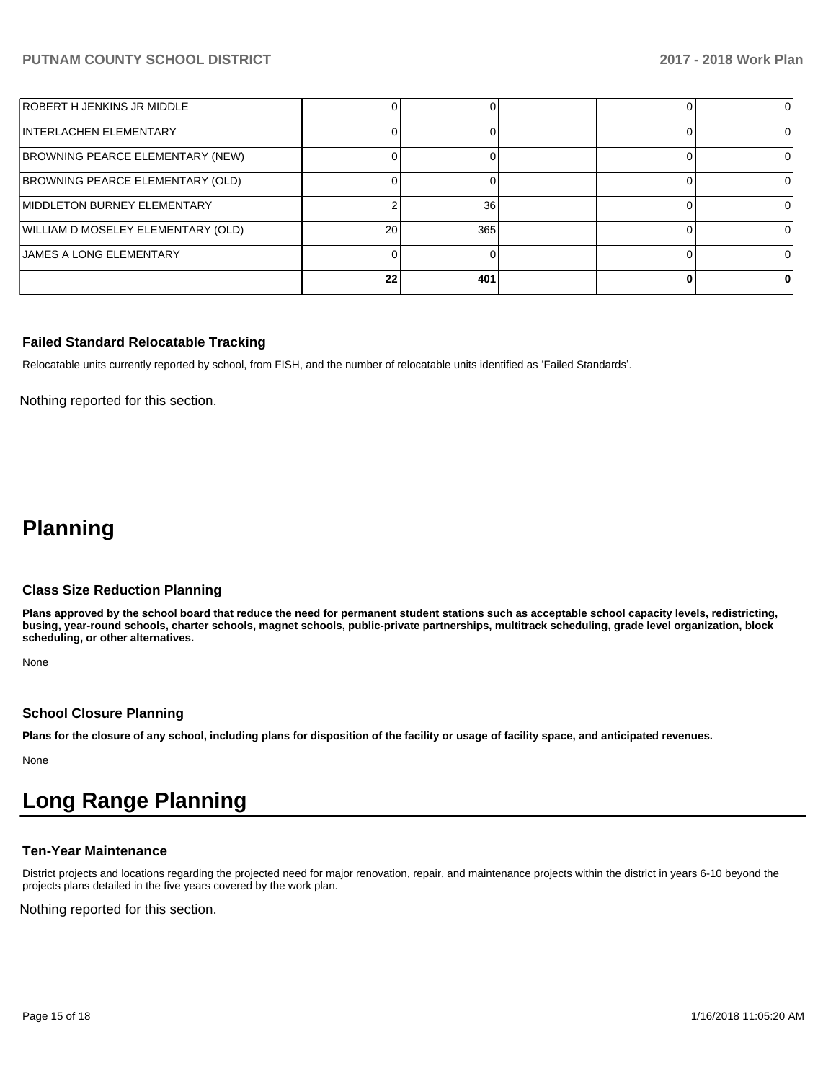| ROBERT H JENKINS JR MIDDLE         |    |     |  |  |
|------------------------------------|----|-----|--|--|
| INTERLACHEN ELEMENTARY             |    |     |  |  |
| BROWNING PEARCE ELEMENTARY (NEW)   |    |     |  |  |
| BROWNING PEARCE ELEMENTARY (OLD)   |    |     |  |  |
| MIDDLETON BURNEY ELEMENTARY        |    | 36  |  |  |
| WILLIAM D MOSELEY ELEMENTARY (OLD) | 20 | 365 |  |  |
| <b>JAMES A LONG ELEMENTARY</b>     |    |     |  |  |
|                                    | 22 | 401 |  |  |

### **Failed Standard Relocatable Tracking**

Relocatable units currently reported by school, from FISH, and the number of relocatable units identified as 'Failed Standards'.

Nothing reported for this section.

## **Planning**

#### **Class Size Reduction Planning**

**Plans approved by the school board that reduce the need for permanent student stations such as acceptable school capacity levels, redistricting, busing, year-round schools, charter schools, magnet schools, public-private partnerships, multitrack scheduling, grade level organization, block scheduling, or other alternatives.**

None

### **School Closure Planning**

**Plans for the closure of any school, including plans for disposition of the facility or usage of facility space, and anticipated revenues.** 

None

# **Long Range Planning**

### **Ten-Year Maintenance**

District projects and locations regarding the projected need for major renovation, repair, and maintenance projects within the district in years 6-10 beyond the projects plans detailed in the five years covered by the work plan.

Nothing reported for this section.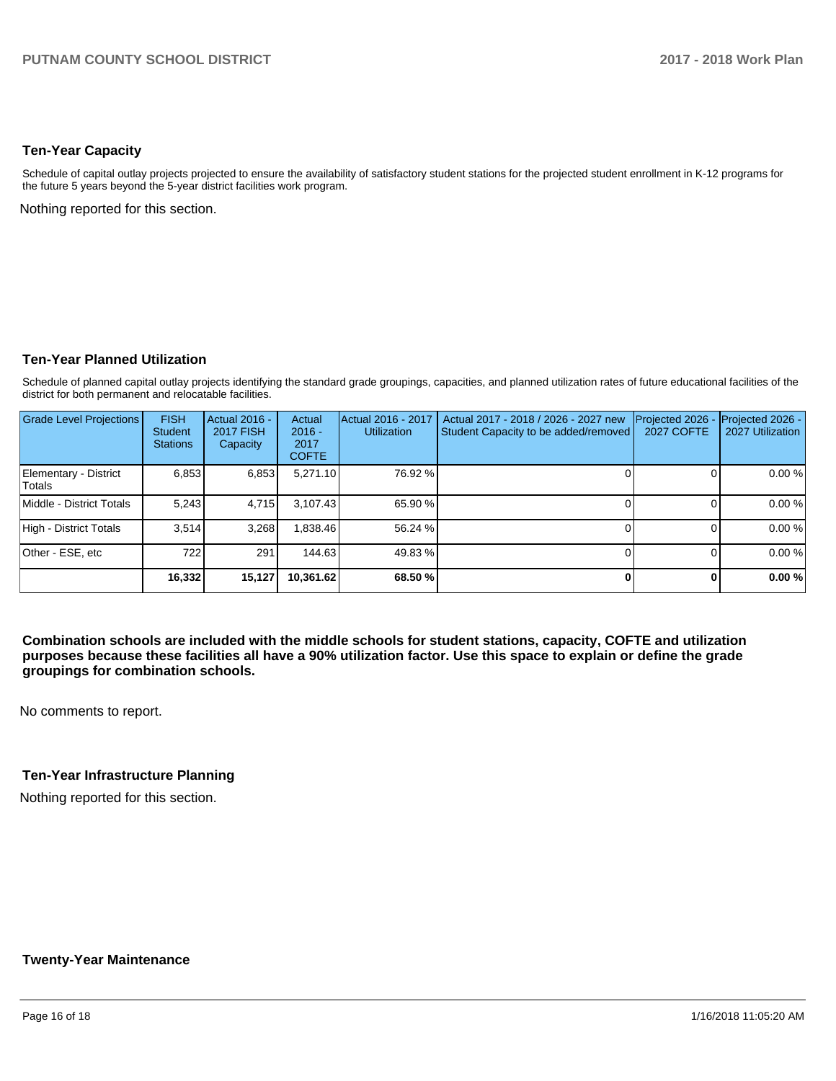## **Ten-Year Capacity**

Schedule of capital outlay projects projected to ensure the availability of satisfactory student stations for the projected student enrollment in K-12 programs for the future 5 years beyond the 5-year district facilities work program.

Nothing reported for this section.

## **Ten-Year Planned Utilization**

Schedule of planned capital outlay projects identifying the standard grade groupings, capacities, and planned utilization rates of future educational facilities of the district for both permanent and relocatable facilities.

| Grade Level Projections         | <b>FISH</b><br><b>Student</b><br><b>Stations</b> | Actual 2016 -<br><b>2017 FISH</b><br>Capacity | Actual<br>$2016 -$<br>2017<br><b>COFTE</b> | Actual 2016 - 2017<br><b>Utilization</b> | Actual 2017 - 2018 / 2026 - 2027 new<br>Student Capacity to be added/removed | Projected 2026<br><b>2027 COFTE</b> | Projected 2026 -<br>2027 Utilization |
|---------------------------------|--------------------------------------------------|-----------------------------------------------|--------------------------------------------|------------------------------------------|------------------------------------------------------------------------------|-------------------------------------|--------------------------------------|
| Elementary - District<br>Totals | 6,853                                            | 6,853                                         | 5,271.10                                   | 76.92 %                                  |                                                                              |                                     | 0.00 %                               |
| Middle - District Totals        | 5.243                                            | 4.715                                         | 3.107.43                                   | 65.90 %                                  |                                                                              |                                     | 0.00%                                |
| High - District Totals          | 3.514                                            | 3,268                                         | .838.46                                    | 56.24 %                                  |                                                                              |                                     | 0.00 %                               |
| Other - ESE, etc                | 722                                              | 291                                           | 144.63                                     | 49.83 %                                  |                                                                              |                                     | 0.00%                                |
|                                 | 16,332                                           | 15,127                                        | 10.361.62                                  | 68.50 %                                  |                                                                              |                                     | 0.00%                                |

**Combination schools are included with the middle schools for student stations, capacity, COFTE and utilization purposes because these facilities all have a 90% utilization factor. Use this space to explain or define the grade groupings for combination schools.** 

No comments to report.

## **Ten-Year Infrastructure Planning**

Nothing reported for this section.

### **Twenty-Year Maintenance**